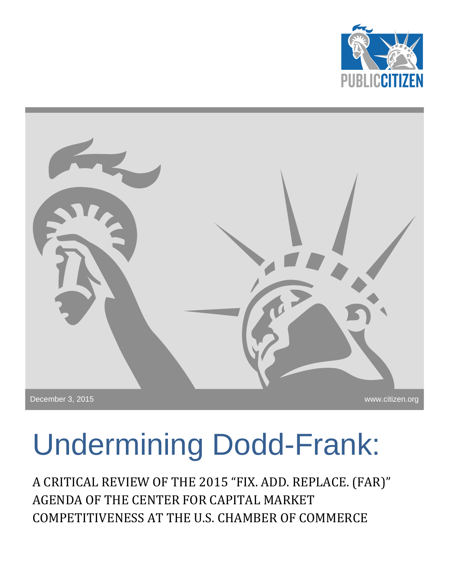



# Undermining Dodd-Frank:

<span id="page-0-0"></span>A CRITICAL REVIEW OF THE 2015 "FIX. ADD. REPLACE. (FAR)" AGENDA OF THE CENTER FOR CAPITAL MARKET COMPETITIVENESS AT THE U.S. CHAMBER OF COMMERCE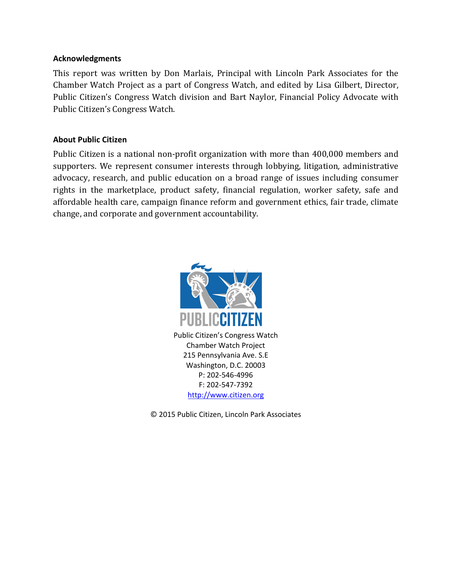#### **Acknowledgments**

This report was written by Don Marlais, Principal with Lincoln Park Associates for the Chamber Watch Project as a part of Congress Watch, and edited by Lisa Gilbert, Director, Public Citizen's Congress Watch division and Bart Naylor, Financial Policy Advocate with Public Citizen's Congress Watch.

#### **About Public Citizen**

Public Citizen is a national non-profit organization with more than 400,000 members and supporters. We represent consumer interests through lobbying, litigation, administrative advocacy, research, and public education on a broad range of issues including consumer rights in the marketplace, product safety, financial regulation, worker safety, safe and affordable health care, campaign finance reform and government ethics, fair trade, climate change, and corporate and government accountability.



Public Citizen's Congress Watch Chamber Watch Project 215 Pennsylvania Ave. S.E Washington, D.C. 20003 P: 202-546-4996 F: 202-547-7392 [http://www.citizen.org](http://www.citizen.org/)

© 2015 Public Citizen, Lincoln Park Associates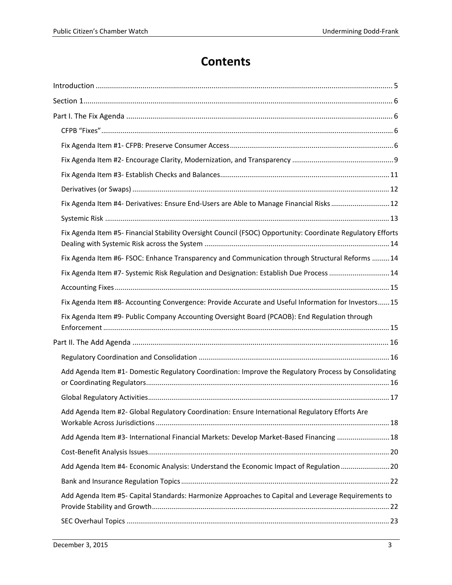# **Contents**

| Fix Agenda Item #4- Derivatives: Ensure End-Users are Able to Manage Financial Risks12                      |
|-------------------------------------------------------------------------------------------------------------|
|                                                                                                             |
| Fix Agenda Item #5- Financial Stability Oversight Council (FSOC) Opportunity: Coordinate Regulatory Efforts |
| Fix Agenda Item #6- FSOC: Enhance Transparency and Communication through Structural Reforms  14             |
| Fix Agenda Item #7- Systemic Risk Regulation and Designation: Establish Due Process  14                     |
|                                                                                                             |
| Fix Agenda Item #8- Accounting Convergence: Provide Accurate and Useful Information for Investors 15        |
| Fix Agenda Item #9- Public Company Accounting Oversight Board (PCAOB): End Regulation through               |
|                                                                                                             |
|                                                                                                             |
| Add Agenda Item #1- Domestic Regulatory Coordination: Improve the Regulatory Process by Consolidating       |
|                                                                                                             |
| Add Agenda Item #2- Global Regulatory Coordination: Ensure International Regulatory Efforts Are             |
| Add Agenda Item #3- International Financial Markets: Develop Market-Based Financing  18                     |
|                                                                                                             |
| Add Agenda Item #4- Economic Analysis: Understand the Economic Impact of Regulation 20                      |
|                                                                                                             |
| Add Agenda Item #5- Capital Standards: Harmonize Approaches to Capital and Leverage Requirements to         |
|                                                                                                             |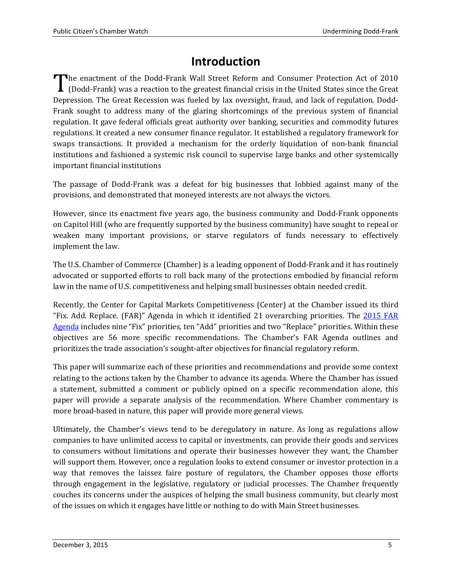# **Introduction**

<span id="page-4-0"></span>The enactment of the Dodd-Frank Wall Street Reform and Consumer Protection Act of 2010 (Dodd-Frank) was a reaction to the greatest financial crisis in the United States since the Great Depression. The Great Recession was fueled by lax oversight, fraud, and lack of regulation. Dodd-Frank sought to address many of the glaring shortcomings of the previous system of financial regulation. It gave federal officials great authority over banking, securities and commodity futures regulations. It created a new consumer finance regulator. It established a regulatory framework for swaps transactions. It provided a mechanism for the orderly liquidation of non-bank financial institutions and fashioned a systemic risk council to supervise large banks and other systemically important financial institutions ' <u>|</u><br>Depi

The passage of Dodd-Frank was a defeat for big businesses that lobbied against many of the provisions, and demonstrated that moneyed interests are not always the victors.

However, since its enactment five years ago, the business community and Dodd-Frank opponents on Capitol Hill (who are frequently supported by the business community) have sought to repeal or weaken many important provisions, or starve regulators of funds necessary to effectively implement the law.

The U.S. Chamber of Commerce (Chamber) is a leading opponent of Dodd-Frank and it has routinely advocated or supported efforts to roll back many of the protections embodied by financial reform law in the name of U.S. competitiveness and helping small businesses obtain needed credit.

Recently, the Center for Capital Markets Competitiveness (Center) at the Chamber issued its third "Fix. Add. Replace. (FAR)" Agenda in which it identified 21 overarching priorities. The [2015 FAR](http://www.centerforcapitalmarkets.com/wp-content/uploads/2013/08/CCMC-2015-FAR-Agenda.pdf)  [Agenda](http://www.centerforcapitalmarkets.com/wp-content/uploads/2013/08/CCMC-2015-FAR-Agenda.pdf) includes nine "Fix" priorities, ten "Add" priorities and two "Replace" priorities. Within these objectives are 56 more specific recommendations. The Chamber's FAR Agenda outlines and prioritizes the trade association's sought-after objectives for financial regulatory reform.

This paper will summarize each of these priorities and recommendations and provide some context relating to the actions taken by the Chamber to advance its agenda. Where the Chamber has issued a statement, submitted a comment or publicly opined on a specific recommendation alone, this paper will provide a separate analysis of the recommendation. Where Chamber commentary is more broad-based in nature, this paper will provide more general views.

Ultimately, the Chamber's views tend to be deregulatory in nature. As long as regulations allow companies to have unlimited access to capital or investments, can provide their goods and services to consumers without limitations and operate their businesses however they want, the Chamber will support them. However, once a regulation looks to extend consumer or investor protection in a way that removes the laissez faire posture of regulators, the Chamber opposes those efforts through engagement in the legislative, regulatory or judicial processes. The Chamber frequently couches its concerns under the auspices of helping the small business community, but clearly most of the issues on which it engages have little or nothing to do with Main Street businesses.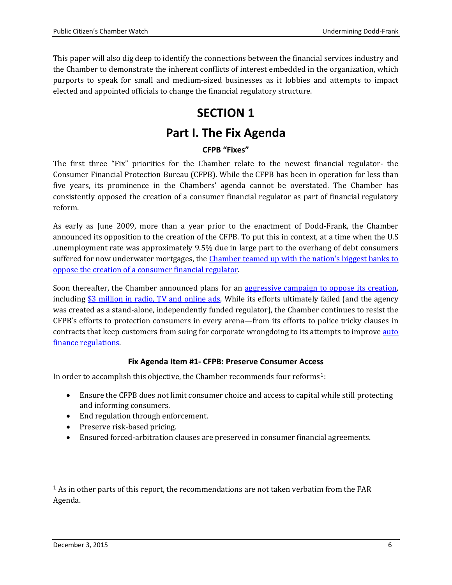<span id="page-5-0"></span>This paper will also dig deep to identify the connections between the financial services industry and the Chamber to demonstrate the inherent conflicts of interest embedded in the organization, which purports to speak for small and medium-sized businesses as it lobbies and attempts to impact elected and appointed officials to change the financial regulatory structure.

# **SECTION 1**

# **Part I. The Fix Agenda**

# **CFPB "Fixes"**

<span id="page-5-2"></span><span id="page-5-1"></span>The first three "Fix" priorities for the Chamber relate to the newest financial regulator- the Consumer Financial Protection Bureau (CFPB). While the CFPB has been in operation for less than five years, its prominence in the Chambers' agenda cannot be overstated. The Chamber has consistently opposed the creation of a consumer financial regulator as part of financial regulatory reform.

As early as June 2009, more than a year prior to the enactment of Dodd-Frank, the Chamber announced its opposition to the creation of the CFPB. To put this in context, at a time when the U.S .unemployment rate was approximately 9.5% due in large part to the overhang of debt consumers suffered for now underwater mortgages, the [Chamber teamed up with the nation's biggest banks to](http://thinkprogress.org/economy/2009/06/17/172824/coc-against-consumers/)  [oppose the creation of a consumer financial regulator.](http://thinkprogress.org/economy/2009/06/17/172824/coc-against-consumers/)

Soon thereafter, the Chamber announced plans for an aggressive campaign to oppose its creation, including  $$3$  million in radio, TV and online ads. While its efforts ultimately failed (and the agency was created as a stand-alone, independently funded regulator), the Chamber continues to resist the CFPB's efforts to protection consumers in every arena—from its efforts to police tricky clauses in contracts that keep customers from suing for corporate wrongdoing to its attempts to improve auto [finance regulations.](https://www.uschamber.com/blog/consumer-bureau-opens-back-door-auto-financing-regulation)

#### **Fix Agenda Item #1- CFPB: Preserve Consumer Access**

<span id="page-5-3"></span>In order to accomplish this objective, the Chamber recommends four reforms[1:](#page-0-0)

- Ensure the CFPB does not limit consumer choice and access to capital while still protecting and informing consumers.
- End regulation through enforcement.
- Preserve risk-based pricing.
- Ensured forced-arbitration clauses are preserved in consumer financial agreements.

<span id="page-5-4"></span> $<sup>1</sup>$  As in other parts of this report, the recommendations are not taken verbatim from the FAR</sup> Agenda.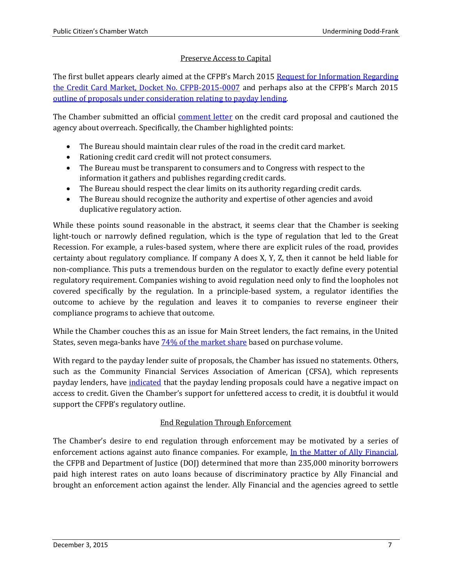## Preserve Access to Capital

The first bullet appears clearly aimed at the CFPB's March 2015 Request for Information Regarding [the Credit Card Market, Docket No. CFPB-2015-0007](https://www.federalregister.gov/articles/2015/03/19/2015-06351/request-for-information-regarding-credit-card-market) and perhaps also at the CFPB's March 2015 [outline of proposals under consideration relating to payday lending.](http://www.consumerfinance.gov/newsroom/cfpb-considers-proposal-to-end-payday-debt-traps/) 

The Chamber submitted an official **comment letter** on the credit card proposal and cautioned the agency about overreach. Specifically, the Chamber highlighted points:

- The Bureau should maintain clear rules of the road in the credit card market.
- Rationing credit card credit will not protect consumers.
- The Bureau must be transparent to consumers and to Congress with respect to the information it gathers and publishes regarding credit cards.
- The Bureau should respect the clear limits on its authority regarding credit cards.
- The Bureau should recognize the authority and expertise of other agencies and avoid duplicative regulatory action.

While these points sound reasonable in the abstract, it seems clear that the Chamber is seeking light-touch or narrowly defined regulation, which is the type of regulation that led to the Great Recession. For example, a rules-based system, where there are explicit rules of the road, provides certainty about regulatory compliance. If company A does X, Y, Z, then it cannot be held liable for non-compliance. This puts a tremendous burden on the regulator to exactly define every potential regulatory requirement. Companies wishing to avoid regulation need only to find the loopholes not covered specifically by the regulation. In a principle-based system, a regulator identifies the outcome to achieve by the regulation and leaves it to companies to reverse engineer their compliance programs to achieve that outcome.

While the Chamber couches this as an issue for Main Street lenders, the fact remains, in the United States, seven mega-banks have [74% of the market share](http://www.cardhub.com/edu/market-share-by-credit-card-issuer/) based on purchase volume.

With regard to the payday lender suite of proposals, the Chamber has issued no statements. Others, such as the Community Financial Services Association of American (CFSA), which represents payday lenders, have [indicated](http://cfsaa.com/our-resources/communications/recent-news/article-detail/newsid/102.aspx) that the payday lending proposals could have a negative impact on access to credit. Given the Chamber's support for unfettered access to credit, it is doubtful it would support the CFPB's regulatory outline.

#### End Regulation Through Enforcement

The Chamber's desire to end regulation through enforcement may be motivated by a series of enforcement actions against auto finance companies. For example, [In the Matter of Ally Financial,](http://www.consumerfinance.gov/newsroom/cfpb-and-doj-order-ally-to-pay-80-million-to-consumers-harmed-by-discriminatory-auto-loan-pricing/) the CFPB and Department of Justice (DOJ) determined that more than 235,000 minority borrowers paid high interest rates on auto loans because of discriminatory practice by Ally Financial and brought an enforcement action against the lender. Ally Financial and the agencies agreed to settle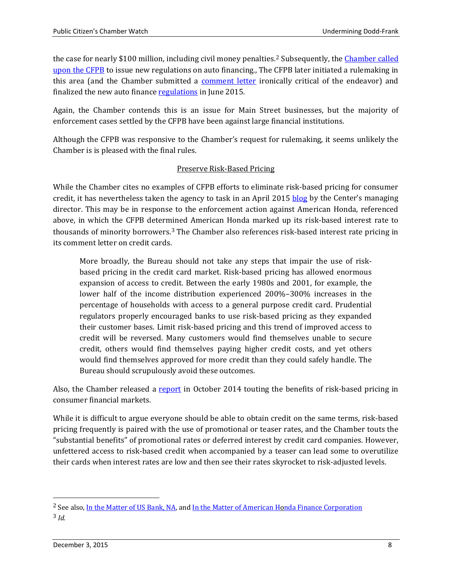the case for nearly \$100 million, including civil money penalties.<sup>2</sup> Subsequently, the Chamber called [upon the CFPB](http://www.centerforcapitalmarkets.com/wp-content/uploads/2014/02/2014-2.12-CFPB-Letter.pdf) to issue new regulations on auto financing., The [CF](#page-5-4)PB later initiated a rulemaking in this area (and the Chamber submitted a **comment letter** ironically critical of the endeavor) and finalized the new auto finance [regulations](http://www.consumerfinance.gov/newsroom/cfpb-to-oversee-nonbank-auto-finance-companies/) in June 2015.

Again, the Chamber contends this is an issue for Main Street businesses, but the majority of enforcement cases settled by the CFPB have been against large financial institutions.

Although the CFPB was responsive to the Chamber's request for rulemaking, it seems unlikely the Chamber is is pleased with the final rules.

#### Preserve Risk-Based Pricing

While the Chamber cites no examples of CFPB efforts to eliminate risk-based pricing for consumer credit, it has nevertheless taken the agency to task in an April 2015 [blog](https://www.uschamber.com/blog/we-can-do-better-plain-vanilla-credit) by the Center's managing director. This may be in response to the enforcement action against American Honda, referenced above, in which the CFPB deter[min](#page-7-0)ed American Honda marked up its risk-based interest rate to thousands of minority borrowers.<sup>3</sup> The Chamber also references risk-based interest rate pricing in its comment letter on credit cards.

More broadly, the Bureau should not take any steps that impair the use of riskbased pricing in the credit card market. Risk-based pricing has allowed enormous expansion of access to credit. Between the early 1980s and 2001, for example, the lower half of the income distribution experienced 200%–300% increases in the percentage of households with access to a general purpose credit card. Prudential regulators properly encouraged banks to use risk-based pricing as they expanded their customer bases. Limit risk-based pricing and this trend of improved access to credit will be reversed. Many customers would find themselves unable to secure credit, others would find themselves paying higher credit costs, and yet others would find themselves approved for more credit than they could safely handle. The Bureau should scrupulously avoid these outcomes.

Also, the Chamber released a [report](https://www.uschamber.com/press-release/new-us-chamber-report-underscores-benefits-risk-based-pricing-consumer-market) in October 2014 touting the benefits of risk-based pricing in consumer financial markets.

While it is difficult to argue everyone should be able to obtain credit on the same terms, risk-based pricing frequently is paired with the use of promotional or teaser rates, and the Chamber touts the "substantial benefits" of promotional rates or deferred interest by credit card companies. However, unfettered access to risk-based credit when accompanied by a teaser can lead some to overutilize their cards when interest rates are low and then see their rates skyrocket to risk-adjusted levels.

<span id="page-7-1"></span><span id="page-7-0"></span><sup>&</sup>lt;sup>2</sup> See also, [In the Matter of US Bank, NA,](http://www.consumerfinance.gov/newsroom/cfpb-orders-auto-lenders-to-refund-approximately-6-5-million-to-servicemembers/) and [In the Matter of American Honda Finance Corporation](http://www.consumerfinance.gov/newsroom/cfpb-and-doj-reach-resolution-with-honda-to-address-discriminatory-auto-loan-pricing/) 3 *Id.*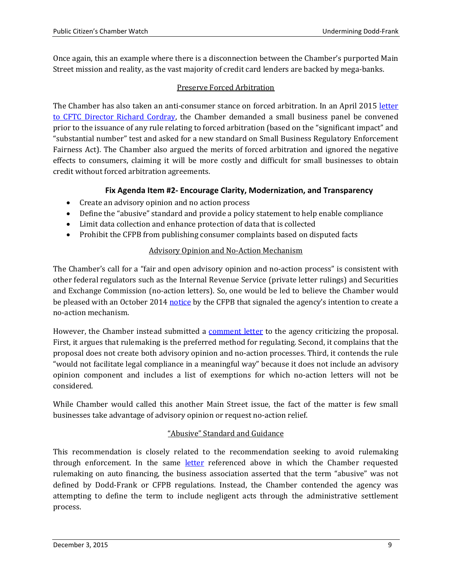Once again, this an example where there is a disconnection between the Chamber's purported Main Street mission and reality, as the vast majority of credit card lenders are backed by mega-banks.

#### Preserve Forced Arbitration

The Chamber has also taken an anti-consumer stance on forced arbitration. In an April 2015 letter [to CFTC Director Richard](https://www.uschamber.com/sites/default/files/2015-4.29-cfpb-small-business-sign-on-letter.pdf) Cordray, the Chamber demanded a small business panel be convened prior to the issuance of any rule relating to forced arbitration (based on the "significant impact" and "substantial number" test and asked for a new standard on Small Business Regulatory Enforcement Fairness Act). The Chamber also argued the merits of forced arbitration and ignored the negative effects to consumers, claiming it will be more costly and difficult for small businesses to obtain credit without forced arbitration agreements.

## **Fix Agenda Item #2- Encourage Clarity, Modernization, and Transparency**

- <span id="page-8-0"></span>• Create an advisory opinion and no action process
- Define the "abusive" standard and provide a policy statement to help enable compliance
- Limit data collection and enhance protection of data that is collected
- Prohibit the CFPB from publishing consumer complaints based on disputed facts

#### Advisory Opinion and No-Action Mechanism

The Chamber's call for a "fair and open advisory opinion and no-action process" is consistent with other federal regulators such as the Internal Revenue Service (private letter rulings) and Securities and Exchange Commission (no-action letters). So, one would be led to believe the Chamber would be pleased with an October 2014 [notice](https://www.federalregister.gov/articles/2014/10/16/2014-24645/policy-on-no-action-letters#h-12) by the CFPB that signaled the agency's intention to create a no-action mechanism.

However, the Chamber instead submitted a [comment letter](http://www.centerforcapitalmarkets.com/wp-content/uploads/2014/12/2014-12.15-CFPB-Letter.pdf) to the agency criticizing the proposal. First, it argues that rulemaking is the preferred method for regulating. Second, it complains that the proposal does not create both advisory opinion and no-action processes. Third, it contends the rule "would not facilitate legal compliance in a meaningful way" because it does not include an advisory opinion component and includes a list of exemptions for which no-action letters will not be considered.

While Chamber would called this another Main Street issue, the fact of the matter is few small businesses take advantage of advisory opinion or request no-action relief.

#### "Abusive" Standard and Guidance

This recommendation is closely related to the recommendation seeking to avoid rulemaking through enforcement. In the same [letter](http://www.centerforcapitalmarkets.com/wp-content/uploads/2014/02/2014-2.12-CFPB-Letter.pdf) referenced above in which the Chamber requested rulemaking on auto financing, the business association asserted that the term "abusive" was not defined by Dodd-Frank or CFPB regulations. Instead, the Chamber contended the agency was attempting to define the term to include negligent acts through the administrative settlement process.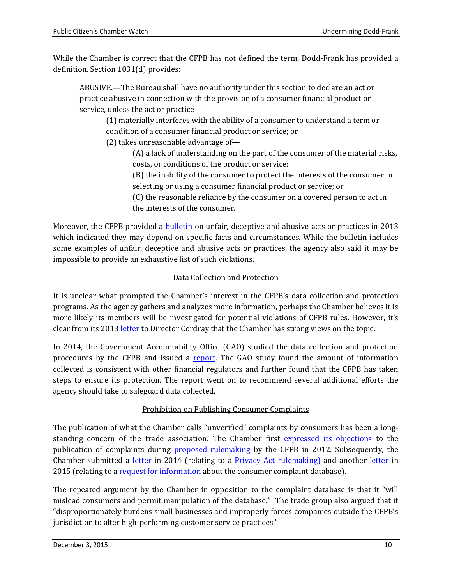While the Chamber is correct that the CFPB has not defined the term, Dodd-Frank has provided a definition. Section 1031(d) provides:

ABUSIVE.—The Bureau shall have no authority under this section to declare an act or practice abusive in connection with the provision of a consumer financial product or service, unless the act or practice—

(1) materially interferes with the ability of a consumer to understand a term or condition of a consumer financial product or service; or

(2) takes unreasonable advantage of—

(A) a lack of understanding on the part of the consumer of the material risks, costs, or conditions of the product or service;

(B) the inability of the consumer to protect the interests of the consumer in selecting or using a consumer financial product or service; or

(C) the reasonable reliance by the consumer on a covered person to act in the interests of the consumer.

Moreover, the CFPB provided a **bulletin** on unfair, deceptive and abusive acts or practices in 2013 which indicated they may depend on specific facts and circumstances. While the bulletin includes some examples of unfair, deceptive and abusive acts or practices, the agency also said it may be impossible to provide an exhaustive list of such violations.

## Data Collection and Protection

It is unclear what prompted the Chamber's interest in the CFPB's data collection and protection programs. As the agency gathers and analyzes more information, perhaps the Chamber believes it is more likely its members will be investigated for potential violations of CFPB rules. However, it's clear from its 201[3 letter](http://www.centerforcapitalmarkets.com/wp-content/uploads/2013/08/2013-6-19-CFPB-letter-on-data-collection.pdf) to Director Cordray that the Chamber has strong views on the topic.

In 2014, the Government Accountability Office (GAO) studied the data collection and protection procedures by the CFPB and issued a [report.](http://www.gao.gov/assets/670/666000.pdf) The GAO study found the amount of information collected is consistent with other financial regulators and further found that the CFPB has taken steps to ensure its protection. The report went on to recommend several additional efforts the agency should take to safeguard data collected.

#### Prohibition on Publishing Consumer Complaints

The publication of what the Chamber calls "unverified" complaints by consumers has been a longstanding concern of the trade association. The Chamber first [expressed its objections](http://www.regulations.gov/contentStreamer?documentId=CFPB-2012-0023-0021&attachmentNumber=1&disposition=attachment&contentType=pdf) to the publication of complaints during [proposed rulemaking](https://www.federalregister.gov/articles/2012/06/22/2012-15161/disclosure-of-consumer-complaint-data) by the CFPB in 2012. Subsequently, the Chamber submitted a <u>letter</u> in 2014 (relating to a **Privacy Act rulemaking**) and another [letter](https://www.uschamber.com/sites/default/files/2015-5.26-consumer-complaint-database-letter.pdf) in 2015 (relating to a [request for information](https://www.federalregister.gov/articles/2015/03/24/2015-06707/request-for-information-regarding-the-consumer-complaint-database) about the consumer complaint database).

The repeated argument by the Chamber in opposition to the complaint database is that it "will mislead consumers and permit manipulation of the database." The trade group also argued that it "disproportionately burdens small businesses and improperly forces companies outside the CFPB's jurisdiction to alter high-performing customer service practices."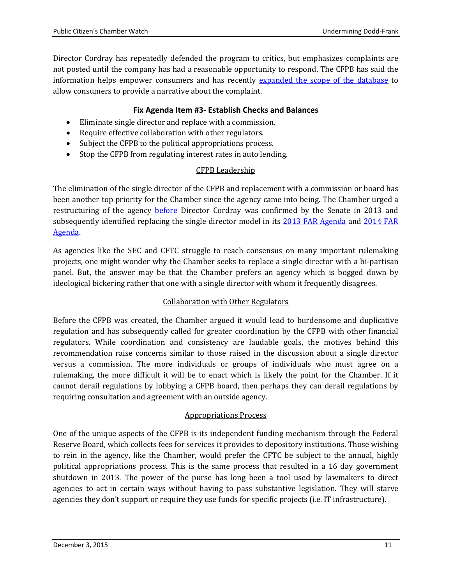Director Cordray has repeatedly defended the program to critics, but emphasizes complaints are not posted until the company has had a reasonable opportunity to respond. The CFPB has said the information helps empower consumers and has recently [expanded the scope of the database](http://www.consumerfinance.gov/newsroom/cfpb-finalizes-policy-to-give-consumers-the-opportunity-to-voice-publicly-complaints-about-financial-companies/) to allow consumers to provide a narrative about the complaint.

#### **Fix Agenda Item #3- Establish Checks and Balances**

- <span id="page-10-0"></span>• Eliminate single director and replace with a commission.
- Require effective collaboration with other regulators.
- Subject the CFPB to the political appropriations process.
- Stop the CFPB from regulating interest rates in auto lending.

#### CFPB Leadership

The elimination of the single director of the CFPB and replacement with a commission or board has been another top priority for the Chamber since the agency came into being. The Chamber urged a restructuring of the agency [before](https://www.uschamber.com/press-release/us-chamber-calls-checks-and-balances-cfpb) Director Cordray was confirmed by the Senate in 2013 and subsequently identified replacing the single director model in its [2013 FAR Agenda](http://www.centerforcapitalmarkets.com/wp-content/uploads/2013/08/CCMC_FAR_FINAL2.pdf) and [2014 FAR](http://www.centerforcapitalmarkets.com/wp-content/uploads/2014/03/2014-Far-Agenda.pdf)  [Agenda.](http://www.centerforcapitalmarkets.com/wp-content/uploads/2014/03/2014-Far-Agenda.pdf)

As agencies like the SEC and CFTC struggle to reach consensus on many important rulemaking projects, one might wonder why the Chamber seeks to replace a single director with a bi-partisan panel. But, the answer may be that the Chamber prefers an agency which is bogged down by ideological bickering rather that one with a single director with whom it frequently disagrees.

#### Collaboration with Other Regulators

Before the CFPB was created, the Chamber argued it would lead to burdensome and duplicative regulation and has subsequently called for greater coordination by the CFPB with other financial regulators. While coordination and consistency are laudable goals, the motives behind this recommendation raise concerns similar to those raised in the discussion about a single director versus a commission. The more individuals or groups of individuals who must agree on a rulemaking, the more difficult it will be to enact which is likely the point for the Chamber. If it cannot derail regulations by lobbying a CFPB board, then perhaps they can derail regulations by requiring consultation and agreement with an outside agency.

#### Appropriations Process

One of the unique aspects of the CFPB is its independent funding mechanism through the Federal Reserve Board, which collects fees for services it provides to depository institutions. Those wishing to rein in the agency, like the Chamber, would prefer the CFTC be subject to the annual, highly political appropriations process. This is the same process that resulted in a 16 day government shutdown in 2013. The power of the purse has long been a tool used by lawmakers to direct agencies to act in certain ways without having to pass substantive legislation. They will starve agencies they don't support or require they use funds for specific projects (i.e. IT infrastructure).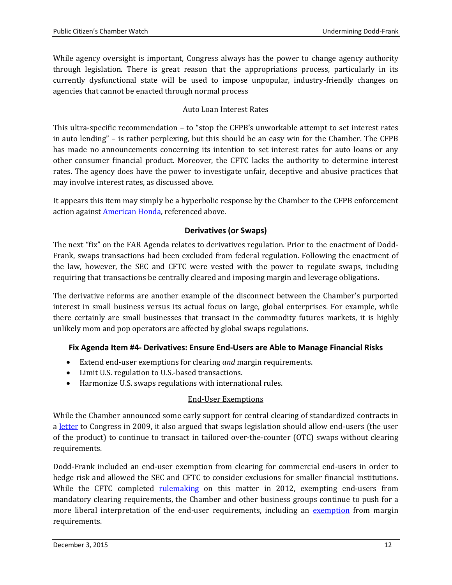While agency oversight is important, Congress always has the power to change agency authority through legislation. There is great reason that the appropriations process, particularly in its currently dysfunctional state will be used to impose unpopular, industry-friendly changes on agencies that cannot be enacted through normal process

#### Auto Loan Interest Rates

This ultra-specific recommendation – to "stop the CFPB's unworkable attempt to set interest rates in auto lending" – is rather perplexing, but this should be an easy win for the Chamber. The CFPB has made no announcements concerning its intention to set interest rates for auto loans or any other consumer financial product. Moreover, the CFTC lacks the authority to determine interest rates. The agency does have the power to investigate unfair, deceptive and abusive practices that may involve interest rates, as discussed above.

It appears this item may simply be a hyperbolic response by the Chamber to the CFPB enforcement action agains[t American Honda,](http://www.consumerfinance.gov/newsroom/cfpb-and-doj-reach-resolution-with-honda-to-address-discriminatory-auto-loan-pricing/) referenced above.

#### **Derivatives (or Swaps)**

<span id="page-11-0"></span>The next "fix" on the FAR Agenda relates to derivatives regulation. Prior to the enactment of Dodd-Frank, swaps transactions had been excluded from federal regulation. Following the enactment of the law, however, the SEC and CFTC were vested with the power to regulate swaps, including requiring that transactions be centrally cleared and imposing margin and leverage obligations.

The derivative reforms are another example of the disconnect between the Chamber's purported interest in small business versus its actual focus on large, global enterprises. For example, while there certainly are small businesses that transact in the commodity futures markets, it is highly unlikely mom and pop operators are affected by global swaps regulations.

#### <span id="page-11-1"></span>**Fix Agenda Item #4- Derivatives: Ensure End-Users are Able to Manage Financial Risks**

- Extend end-user exemptions for clearing *and* margin requirements.
- Limit U.S. regulation to U.S.-based transactions.
- Harmonize U.S. swaps regulations with international rules.

#### End-User Exemptions

While the Chamber announced some early support for central clearing of standardized contracts in a [letter](http://www.centerforcapitalmarkets.com/wp-content/uploads/2010/04/OTCDerivatesSenate6.04.09.pdf) to Congress in 2009, it also argued that swaps legislation should allow end-users (the user of the product) to continue to transact in tailored over-the-counter (OTC) swaps without clearing requirements.

Dodd-Frank included an end-user exemption from clearing for commercial end-users in order to hedge risk and allowed the SEC and CFTC to consider exclusions for smaller financial institutions. While the CFTC completed <u>[rulemaking](http://www.cftc.gov/ucm/groups/public/@lrfederalregister/documents/file/2012-17291a.pdf)</u> on this matter in 2012, exempting end-users from mandatory clearing requirements, the Chamber and other business groups continue to push for a more liberal interpretation of the end-user requirements, including an [exemption](http://www.centerforcapitalmarkets.com/wp-content/uploads/2014/09/2014-9.15-Letter-in-Support-of-Margin-and-CTU-bill-language-in-Barr-and-Fitzpatrick-Bills.pdf) from margin requirements.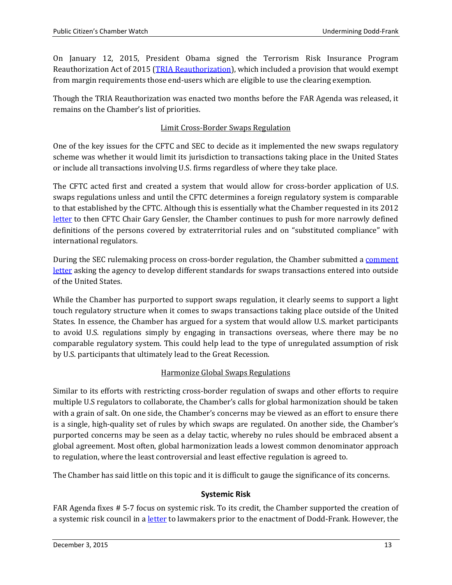On January 12, 2015, President Obama signed the Terrorism Risk Insurance Program Reauthorization Act of 2015 [\(TRIA Reauthorization\)](https://www.congress.gov/bill/114th-congress/house-bill/26?q=%7B%22search%22%3A%5B%22%5C%22hr26%5C%22%22%5D%7D), which included a provision that would exempt from margin requirements those end-users which are eligible to use the clearing exemption.

Though the TRIA Reauthorization was enacted two months before the FAR Agenda was released, it remains on the Chamber's list of priorities.

## Limit Cross-Border Swaps Regulation

One of the key issues for the CFTC and SEC to decide as it implemented the new swaps regulatory scheme was whether it would limit its jurisdiction to transactions taking place in the United States or include all transactions involving U.S. firms regardless of where they take place.

The CFTC acted first and created a system that would allow for cross-border application of U.S. swaps regulations unless and until the CFTC determines a foreign regulatory system is comparable to that established by the CFTC. Although this is essentially what the Chamber requested in its 2012 [letter](http://comments.cftc.gov/PublicComments/ViewComment.aspx?id=58310&SearchText=) to then CFTC Chair Gary Gensler, the Chamber continues to push for more narrowly defined definitions of the persons covered by extraterritorial rules and on "substituted compliance" with international regulators.

During the SEC rulemaking process on cross-border regulation, the Chamber submitted a comment [letter](http://www.centerforcapitalmarkets.com/wp-content/uploads/2013/08/2013-8.21-Coalition-for-Derivatives-End-Users-SEC-Cross-Border-Swaps-Comment-Letter.pdf) asking the agency to develop different standards for swaps transactions entered into outside of the United States.

While the Chamber has purported to support swaps regulation, it clearly seems to support a light touch regulatory structure when it comes to swaps transactions taking place outside of the United States. In essence, the Chamber has argued for a system that would allow U.S. market participants to avoid U.S. regulations simply by engaging in transactions overseas, where there may be no comparable regulatory system. This could help lead to the type of unregulated assumption of risk by U.S. participants that ultimately lead to the Great Recession.

#### Harmonize Global Swaps Regulations

Similar to its efforts with restricting cross-border regulation of swaps and other efforts to require multiple U.S regulators to collaborate, the Chamber's calls for global harmonization should be taken with a grain of salt. On one side, the Chamber's concerns may be viewed as an effort to ensure there is a single, high-quality set of rules by which swaps are regulated. On another side, the Chamber's purported concerns may be seen as a delay tactic, whereby no rules should be embraced absent a global agreement. Most often, global harmonization leads a lowest common denominator approach to regulation, where the least controversial and least effective regulation is agreed to.

The Chamber has said little on this topic and it is difficult to gauge the significance of its concerns.

# **Systemic Risk**

<span id="page-12-0"></span>FAR Agenda fixes # 5-7 focus on systemic risk. To its credit, the Chamber supported the creation of a systemic risk council in a [letter](https://www.uschamber.com/letter/letter-regarding-systemic-risk) to lawmakers prior to the enactment of Dodd-Frank. However, the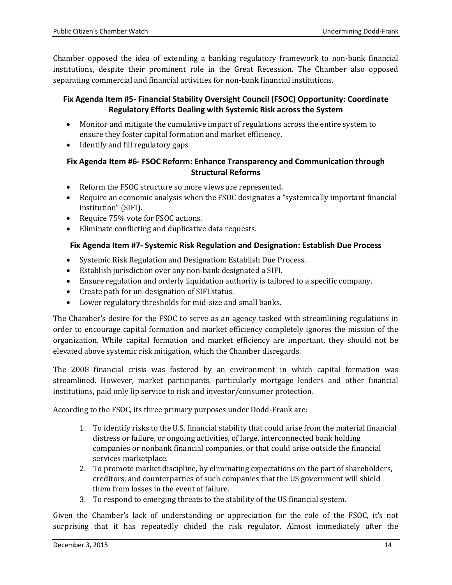Chamber opposed the idea of extending a banking regulatory framework to non-bank financial institutions, despite their prominent role in the Great Recession. The Chamber also opposed separating commercial and financial activities for non-bank financial institutions.

#### <span id="page-13-0"></span>**Fix Agenda Item #5- Financial Stability Oversight Council (FSOC) Opportunity: Coordinate Regulatory Efforts Dealing with Systemic Risk across the System**

- Monitor and mitigate the cumulative impact of regulations across the entire system to ensure they foster capital formation and market efficiency.
- Identify and fill regulatory gaps.

#### <span id="page-13-1"></span>**Fix Agenda Item #6- FSOC Reform: Enhance Transparency and Communication through Structural Reforms**

- Reform the FSOC structure so more views are represented.
- Require an economic analysis when the FSOC designates a "systemically important financial institution" (SIFI).
- Require 75% vote for FSOC actions.
- Eliminate conflicting and duplicative data requests.

## <span id="page-13-2"></span>**Fix Agenda Item #7- Systemic Risk Regulation and Designation: Establish Due Process**

- Systemic Risk Regulation and Designation: Establish Due Process.
- Establish jurisdiction over any non-bank designated a SIFI.
- Ensure regulation and orderly liquidation authority is tailored to a specific company.
- Create path for un-designation of SIFI status.
- Lower regulatory thresholds for mid-size and small banks.

The Chamber's desire for the FSOC to serve as an agency tasked with streamlining regulations in order to encourage capital formation and market efficiency completely ignores the mission of the organization. While capital formation and market efficiency are important, they should not be elevated above systemic risk mitigation, which the Chamber disregards.

The 2008 financial crisis was fostered by an environment in which capital formation was streamlined. However, market participants, particularly mortgage lenders and other financial institutions, paid only lip service to risk and investor/consumer protection.

According to the FSOC, its three primary purposes under Dodd-Frank are:

- 1. To identify risks to the U.S. financial stability that could arise from the material financial distress or failure, or ongoing activities, of large, interconnected bank holding companies or nonbank financial companies, or that could arise outside the financial services marketplace.
- 2. To promote market discipline, by eliminating expectations on the part of shareholders, creditors, and counterparties of such companies that the US government will shield them from losses in the event of failure.
- 3. To respond to emerging threats to the stability of the US financial system.

Given the Chamber's lack of understanding or appreciation for the role of the FSOC, it's not surprising that it has repeatedly chided the risk regulator. Almost immediately after the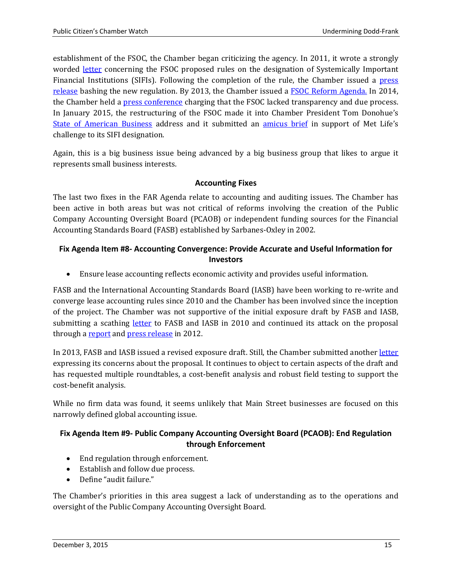establishment of the FSOC, the Chamber began criticizing the agency. In 2011, it wrote a strongly worded [letter](http://www.centerforcapitalmarkets.com/wp-content/uploads/2010/04/2011-12-19-FSOC-SIFI-Letter.pdf) concerning the FSOC proposed rules on the designation of Systemically Important Financial Institutions (SIFIs). Following the completion of the rule, the Chamber issued a [press](https://www.uschamber.com/press-release/us-chamber-warns-economic-consequences-fsoc%E2%80%99s-final-rule-systemic-risk-designation)  [release](https://www.uschamber.com/press-release/us-chamber-warns-economic-consequences-fsoc%E2%80%99s-final-rule-systemic-risk-designation) bashing the new regulation. By 2013, the Chamber issued a [FSOC Reform Agenda.](http://www.centerforcapitalmarkets.com/wp-content/uploads/2013/08/2013_Financial-Stability-Oversight-Council-Reform-Agenda.pdf) In 2014, the Chamber held a [press conference](https://www.uschamber.com/blog/lack-transparency-and-due-process-financial-stability-oversight-council) charging that the FSOC lacked transparency and due process. In January 2015, the restructuring of the FSOC made it into Chamber President Tom Donohue's [State of American Business](https://www.uschamber.com/sites/default/files/state_of_american_business_2015_final_speech_text2.pdf) address and it submitted an [amicus brief](http://www.chamberlitigation.com/metlife-inc-v-financial-stability-oversight-council) in support of Met Life's challenge to its SIFI designation.

Again, this is a big business issue being advanced by a big business group that likes to argue it represents small business interests.

#### **Accounting Fixes**

<span id="page-14-0"></span>The last two fixes in the FAR Agenda relate to accounting and auditing issues. The Chamber has been active in both areas but was not critical of reforms involving the creation of the Public Company Accounting Oversight Board (PCAOB) or independent funding sources for the Financial Accounting Standards Board (FASB) established by Sarbanes-Oxley in 2002.

## <span id="page-14-1"></span>**Fix Agenda Item #8- Accounting Convergence: Provide Accurate and Useful Information for Investors**

• Ensure lease accounting reflects economic activity and provides useful information.

FASB and the International Accounting Standards Board (IASB) have been working to re-write and converge lease accounting rules since 2010 and the Chamber has been involved since the inception of the project. The Chamber was not supportive of the initial exposure draft by FASB and IASB, submitting a scathing [letter](http://www.centerforcapitalmarkets.com/wp-content/uploads/2010/04/Chamber-FASB-IASB-Lease-Comment-Letter-12.15.2010.pdf) to FASB and IASB in 2010 and continued its attack on the proposal through a [report](http://www.centerforcapitalmarkets.com/wp-content/uploads/2010/04/2012-02-08-IASB-FASB-CA-Report-FINAL-v-3-_2_.pdf) an[d press release](https://www.uschamber.com/press-release/proposed-lease-accounting-standards-cost-190000-jobs-and-companies-102-billion) in 2012.

In 2013, FASB and IASB issued a revised exposure draft. Still, the Chamber submitted another [letter](http://www.centerforcapitalmarkets.com/wp-content/uploads/2014/01/2013-9.9-CHAMBER-RER-ELFA-Lease-Proposal-Comment-Letter.pdf) expressing its concerns about the proposal. It continues to object to certain aspects of the draft and has requested multiple roundtables, a cost-benefit analysis and robust field testing to support the cost-benefit analysis.

While no firm data was found, it seems unlikely that Main Street businesses are focused on this narrowly defined global accounting issue.

## <span id="page-14-2"></span>**Fix Agenda Item #9- Public Company Accounting Oversight Board (PCAOB): End Regulation through Enforcement**

- End regulation through enforcement.
- Establish and follow due process.
- Define "audit failure."

The Chamber's priorities in this area suggest a lack of understanding as to the operations and oversight of the Public Company Accounting Oversight Board.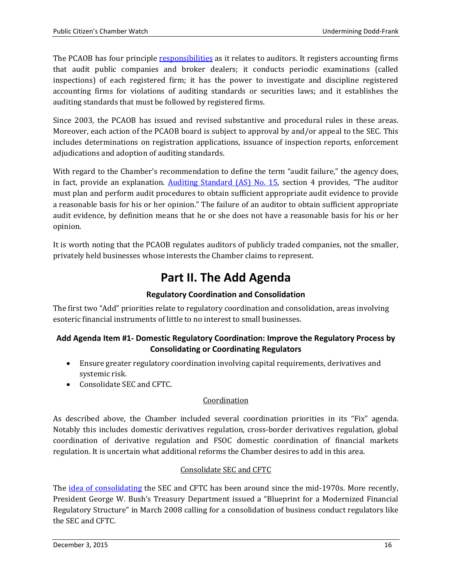The PCAOB has four principle [responsibilities](http://pcaobus.org/About/Ops/Documents/Annual%20Reports/2014.pdf) as it relates to auditors. It registers accounting firms that audit public companies and broker dealers; it conducts periodic examinations (called inspections) of each registered firm; it has the power to investigate and discipline registered accounting firms for violations of auditing standards or securities laws; and it establishes the auditing standards that must be followed by registered firms.

Since 2003, the PCAOB has issued and revised substantive and procedural rules in these areas. Moreover, each action of the PCAOB board is subject to approval by and/or appeal to the SEC. This includes determinations on registration applications, issuance of inspection reports, enforcement adjudications and adoption of auditing standards.

With regard to the Chamber's recommendation to define the term "audit failure," the agency does, in fact, provide an explanation. [Auditing Standard \(AS\) No. 15,](http://pcaobus.org/Standards/Auditing/Pages/Auditing_Standard_15.aspx) section 4 provides, "The auditor must plan and perform audit procedures to obtain sufficient appropriate audit evidence to provide a reasonable basis for his or her opinion." The failure of an auditor to obtain sufficient appropriate audit evidence, by definition means that he or she does not have a reasonable basis for his or her opinion.

<span id="page-15-0"></span>It is worth noting that the PCAOB regulates auditors of publicly traded companies, not the smaller, privately held businesses whose interests the Chamber claims to represent.

# **Part II. The Add Agenda**

# **Regulatory Coordination and Consolidation**

<span id="page-15-1"></span>The first two "Add" priorities relate to regulatory coordination and consolidation, areas involving esoteric financial instruments of little to no interest to small businesses.

#### <span id="page-15-2"></span>**Add Agenda Item #1- Domestic Regulatory Coordination: Improve the Regulatory Process by Consolidating or Coordinating Regulators**

- Ensure greater regulatory coordination involving capital requirements, derivatives and systemic risk.
- Consolidate SEC and CFTC.

# Coordination

As described above, the Chamber included several coordination priorities in its "Fix" agenda. Notably this includes domestic derivatives regulation, cross-border derivatives regulation, global coordination of derivative regulation and FSOC domestic coordination of financial markets regulation. It is uncertain what additional reforms the Chamber desires to add in this area.

#### Consolidate SEC and CFTC

The [idea of consolidating](http://digitalcommons.law.villanova.edu/cgi/viewcontent.cgi?article=2760&context=vlr) the SEC and CFTC has been around since the mid-1970s. More recently, President George W. Bush's Treasury Department issued a "Blueprint for a Modernized Financial Regulatory Structure" in March 2008 calling for a consolidation of business conduct regulators like the SEC and CFTC.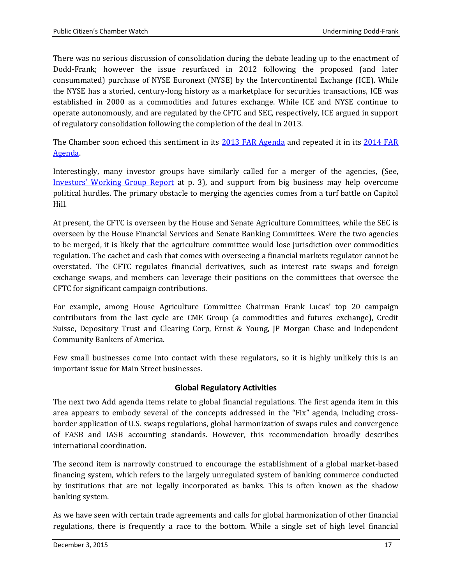There was no serious discussion of consolidation during the debate leading up to the enactment of Dodd-Frank; however the issue resurfaced in 2012 following the proposed (and later consummated) purchase of NYSE Euronext (NYSE) by the Intercontinental Exchange (ICE). While the NYSE has a storied, century-long history as a marketplace for securities transactions, ICE was established in 2000 as a commodities and futures exchange. While ICE and NYSE continue to operate autonomously, and are regulated by the CFTC and SEC, respectively, ICE argued in support of regulatory consolidation following the completion of the deal in 2013.

The Chamber soon echoed this sentiment in its [2013 FAR Agenda](http://www.centerforcapitalmarkets.com/wp-content/uploads/2013/08/CCMC_FAR_FINAL2.pdf) and repeated it in its 2014 FAR [Agenda.](http://www.centerforcapitalmarkets.com/wp-content/uploads/2014/03/2014-Far-Agenda.pdf)

Interestingly, many investor groups have similarly called for a merger of the agencies, (See, [Investors' Working Group Report](http://www.cii.org/files/issues_and_advocacy/dodd-frank_act/07_01_09_iwg_report.pdf) at p. 3), and support from big business may help overcome political hurdles. The primary obstacle to merging the agencies comes from a turf battle on Capitol Hill.

At present, the CFTC is overseen by the House and Senate Agriculture Committees, while the SEC is overseen by the House Financial Services and Senate Banking Committees. Were the two agencies to be merged, it is likely that the agriculture committee would lose jurisdiction over commodities regulation. The cachet and cash that comes with overseeing a financial markets regulator cannot be overstated. The CFTC regulates financial derivatives, such as interest rate swaps and foreign exchange swaps, and members can leverage their positions on the committees that oversee the CFTC for significant campaign contributions.

For example, among House Agriculture Committee Chairman Frank Lucas' top 20 campaign contributors from the last cycle are CME Group (a commodities and futures exchange), Credit Suisse, Depository Trust and Clearing Corp, Ernst & Young, JP Morgan Chase and Independent Community Bankers of America.

Few small businesses come into contact with these regulators, so it is highly unlikely this is an important issue for Main Street businesses.

#### **Global Regulatory Activities**

<span id="page-16-0"></span>The next two Add agenda items relate to global financial regulations. The first agenda item in this area appears to embody several of the concepts addressed in the "Fix" agenda, including crossborder application of U.S. swaps regulations, global harmonization of swaps rules and convergence of FASB and IASB accounting standards. However, this recommendation broadly describes international coordination.

The second item is narrowly construed to encourage the establishment of a global market-based financing system, which refers to the largely unregulated system of banking commerce conducted by institutions that are not legally incorporated as banks. This is often known as the shadow banking system.

As we have seen with certain trade agreements and calls for global harmonization of other financial regulations, there is frequently a race to the bottom. While a single set of high level financial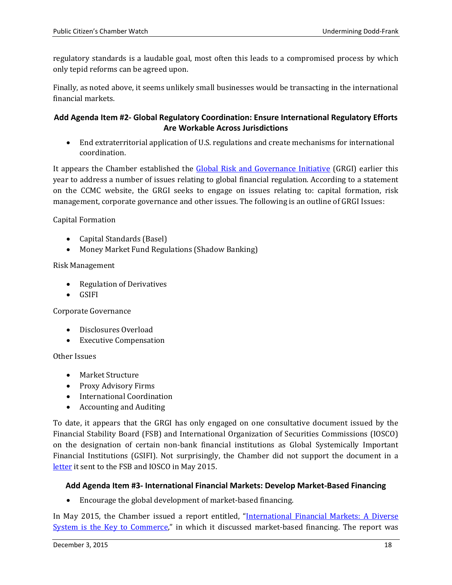regulatory standards is a laudable goal, most often this leads to a compromised process by which only tepid reforms can be agreed upon.

Finally, as noted above, it seems unlikely small businesses would be transacting in the international financial markets.

#### <span id="page-17-0"></span>**Add Agenda Item #2- Global Regulatory Coordination: Ensure International Regulatory Efforts Are Workable Across Jurisdictions**

• End extraterritorial application of U.S. regulations and create mechanisms for international coordination.

It appears the Chamber established the [Global Risk and Governance Initiative](http://www.centerforcapitalmarkets.com/grgi/) (GRGI) earlier this year to address a number of issues relating to global financial regulation. According to a statement on the CCMC website, the GRGI seeks to engage on issues relating to: capital formation, risk management, corporate governance and other issues. The following is an outline of GRGI Issues:

Capital Formation

- Capital Standards (Basel)
- Money Market Fund Regulations (Shadow Banking)

#### Risk Management

- Regulation of Derivatives
- GSIFI

Corporate Governance

- Disclosures Overload
- Executive Compensation

Other Issues

- Market Structure
- Proxy Advisory Firms
- International Coordination
- Accounting and Auditing

To date, it appears that the GRGI has only engaged on one consultative document issued by the Financial Stability Board (FSB) and International Organization of Securities Commissions (IOSCO) on the designation of certain non-bank financial institutions as Global Systemically Important Financial Institutions (GSIFI). Not surprisingly, the Chamber did not support the document in a [letter](https://www.uschamber.com/sites/default/files/2015-5.22-grgi-fsb-comment-letter.pdf) it sent to the FSB and IOSCO in May 2015.

#### <span id="page-17-1"></span>**Add Agenda Item #3- International Financial Markets: Develop Market-Based Financing**

• Encourage the global development of market-based financing.

In May 2015, the Chamber issued a report entitled, "International Financial Markets: A Diverse [System is the Key to Commerce,](http://www.centerforcapitalmarkets.com/wp-content/uploads/2013/08/021881_SourcesofCapital_fin.pdf)" in which it discussed market-based financing. The report was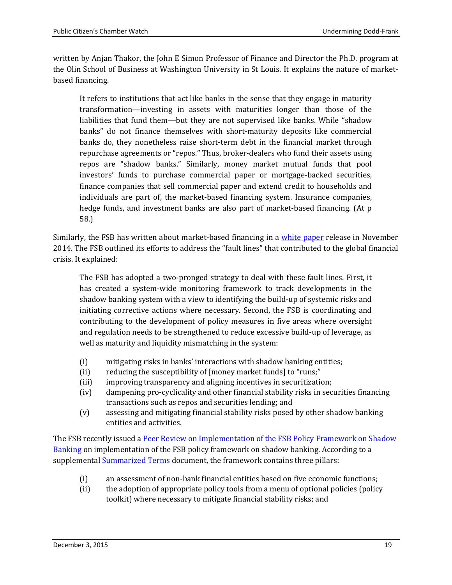written by Anjan Thakor, the John E Simon Professor of Finance and Director the Ph.D. program at the Olin School of Business at Washington University in St Louis. It explains the nature of marketbased financing.

It refers to institutions that act like banks in the sense that they engage in maturity transformation—investing in assets with maturities longer than those of the liabilities that fund them—but they are not supervised like banks. While "shadow banks" do not finance themselves with short-maturity deposits like commercial banks do, they nonetheless raise short-term debt in the financial market through repurchase agreements or "repos." Thus, broker-dealers who fund their assets using repos are "shadow banks." Similarly, money market mutual funds that pool investors' funds to purchase commercial paper or mortgage-backed securities, finance companies that sell commercial paper and extend credit to households and individuals are part of, the market-based financing system. Insurance companies, hedge funds, and investment banks are also part of market-based financing. (At p 58.)

Similarly, the FSB has written about market-based financing in a [white paper](http://www.financialstabilityboard.org/wp-content/uploads/Progress-Report-on-Transforming-Shadow-Banking-into-Resilient-Market-Based-Financing.pdf) release in November 2014. The FSB outlined its efforts to address the "fault lines" that contributed to the global financial crisis. It explained:

The FSB has adopted a two-pronged strategy to deal with these fault lines. First, it has created a system-wide monitoring framework to track developments in the shadow banking system with a view to identifying the build-up of systemic risks and initiating corrective actions where necessary. Second, the FSB is coordinating and contributing to the development of policy measures in five areas where oversight and regulation needs to be strengthened to reduce excessive build-up of leverage, as well as maturity and liquidity mismatching in the system:

- (i) mitigating risks in banks' interactions with shadow banking entities;
- (ii) reducing the susceptibility of [money market funds] to "runs;"<br>(iii) improving transparency and aligning incentives in securitization
- improving transparency and aligning incentives in securitization;
- (iv) dampening pro-cyclicality and other financial stability risks in securities financing transactions such as repos and securities lending; and
- (v) assessing and mitigating financial stability risks posed by other shadow banking entities and activities.

The FSB recently issued a [Peer Review on Implementation of the FSB Policy Framework on Shadow](http://www.financialstabilityboard.org/2015/07/fsb-launches-peer-review-on-the-implementation-of-its-policy-framework-for-shadow-banking-entities-and-invites-feedback-from-stakeholders/)  [Banking](http://www.financialstabilityboard.org/2015/07/fsb-launches-peer-review-on-the-implementation-of-its-policy-framework-for-shadow-banking-entities-and-invites-feedback-from-stakeholders/) on implementation of the FSB policy framework on shadow banking. According to a supplementa[l Summarized Terms](http://www.financialstabilityboard.org/wp-content/uploads/TOR-for-peer-review-on-shadow-banking-summarized-29062015-final.pdf) document, the framework contains three pillars:

- (i) an assessment of non-bank financial entities based on five economic functions;
- (ii) the adoption of appropriate policy tools from a menu of optional policies (policy toolkit) where necessary to mitigate financial stability risks; and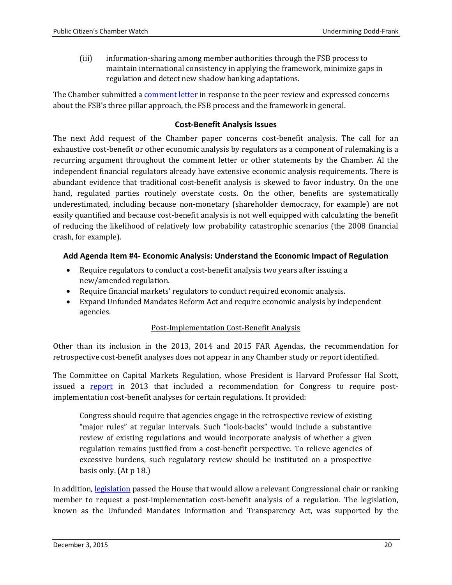(iii) information-sharing among member authorities through the FSB process to maintain international consistency in applying the framework, minimize gaps in regulation and detect new shadow banking adaptations.

The Chamber submitted [a comment letter](http://www.centerforcapitalmarkets.com/wp-content/uploads/2015/07/FINAL-U.S.-Chamber-Response-to-FSB-Peer-Review.pdf) in response to the peer review and expressed concerns about the FSB's three pillar approach, the FSB process and the framework in general.

#### **Cost-Benefit Analysis Issues**

<span id="page-19-0"></span>The next Add request of the Chamber paper concerns cost-benefit analysis. The call for an exhaustive cost-benefit or other economic analysis by regulators as a component of rulemaking is a recurring argument throughout the comment letter or other statements by the Chamber. Al the independent financial regulators already have extensive economic analysis requirements. There is abundant evidence that traditional cost-benefit analysis is skewed to favor industry. On the one hand, regulated parties routinely overstate costs. On the other, benefits are systematically underestimated, including because non-monetary (shareholder democracy, for example) are not easily quantified and because cost-benefit analysis is not well equipped with calculating the benefit of reducing the likelihood of relatively low probability catastrophic scenarios (the 2008 financial crash, for example).

#### <span id="page-19-1"></span>**Add Agenda Item #4- Economic Analysis: Understand the Economic Impact of Regulation**

- Require regulators to conduct a cost-benefit analysis two years after issuing a new/amended regulation.
- Require financial markets' regulators to conduct required economic analysis.
- Expand Unfunded Mandates Reform Act and require economic analysis by independent agencies.

#### Post-Implementation Cost-Benefit Analysis

Other than its inclusion in the 2013, 2014 and 2015 FAR Agendas, the recommendation for retrospective cost-benefit analyses does not appear in any Chamber study or report identified.

The Committee on Capital Markets Regulation, whose President is Harvard Professor Hal Scott, issued a [report](http://capmktsreg.org/app/uploads/2013/10/A-Balanced-Approach-to-Cost-Benefit-Analysis-Reform.pdf) in 2013 that included a recommendation for Congress to require postimplementation cost-benefit analyses for certain regulations. It provided:

Congress should require that agencies engage in the retrospective review of existing "major rules" at regular intervals. Such "look-backs" would include a substantive review of existing regulations and would incorporate analysis of whether a given regulation remains justified from a cost-benefit perspective. To relieve agencies of excessive burdens, such regulatory review should be instituted on a prospective basis only. (At p 18.)

In addition, [legislation](https://www.congress.gov/bill/114th-congress/house-bill/50?q=%7B%22search%22%3A%5B%22cost+benefit+analysis%22%5D%7D) passed the House that would allow a relevant Congressional chair or ranking member to request a post-implementation cost-benefit analysis of a regulation. The legislation, known as the Unfunded Mandates Information and Transparency Act, was supported by the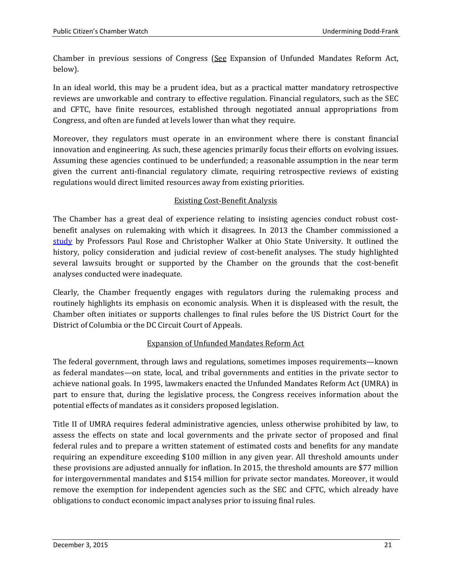Chamber in previous sessions of Congress (See Expansion of Unfunded Mandates Reform Act, below).

In an ideal world, this may be a prudent idea, but as a practical matter mandatory retrospective reviews are unworkable and contrary to effective regulation. Financial regulators, such as the SEC and CFTC, have finite resources, established through negotiated annual appropriations from Congress, and often are funded at levels lower than what they require.

Moreover, they regulators must operate in an environment where there is constant financial innovation and engineering. As such, these agencies primarily focus their efforts on evolving issues. Assuming these agencies continued to be underfunded; a reasonable assumption in the near term given the current anti-financial regulatory climate, requiring retrospective reviews of existing regulations would direct limited resources away from existing priorities.

#### Existing Cost-Benefit Analysis

The Chamber has a great deal of experience relating to insisting agencies conduct robust costbenefit analyses on rulemaking with which it disagrees. In 2013 the Chamber commissioned a [study](http://www.centerforcapitalmarkets.com/wp-content/uploads/2010/04/CBA-Report-3.10.13.pdf) by Professors Paul Rose and Christopher Walker at Ohio State University. It outlined the history, policy consideration and judicial review of cost-benefit analyses. The study highlighted several lawsuits brought or supported by the Chamber on the grounds that the cost-benefit analyses conducted were inadequate.

Clearly, the Chamber frequently engages with regulators during the rulemaking process and routinely highlights its emphasis on economic analysis. When it is displeased with the result, the Chamber often initiates or supports challenges to final rules before the US District Court for the District of Columbia or the DC Circuit Court of Appeals.

#### Expansion of Unfunded Mandates Reform Act

The federal government, through laws and regulations, sometimes imposes requirements—known as federal mandates—on state, local, and tribal governments and entities in the private sector to achieve national goals. In 1995, lawmakers enacted the Unfunded Mandates Reform Act (UMRA) in part to ensure that, during the legislative process, the Congress receives information about the potential effects of mandates as it considers proposed legislation.

Title II of UMRA requires federal administrative agencies, unless otherwise prohibited by law, to assess the effects on state and local governments and the private sector of proposed and final federal rules and to prepare a written statement of estimated costs and benefits for any mandate requiring an expenditure exceeding \$100 million in any given year. All threshold amounts under these provisions are adjusted annually for inflation. In 2015, the threshold amounts are \$77 million for intergovernmental mandates and \$154 million for private sector mandates. Moreover, it would remove the exemption for independent agencies such as the SEC and CFTC, which already have obligations to conduct economic impact analyses prior to issuing final rules.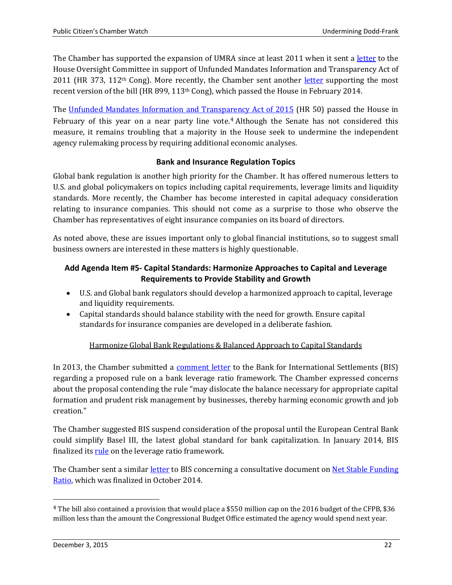The Chamber has supported the expansion of UMRA since at least 2011 when it sent a [letter](https://www.uschamber.com/letter/letter-supporting-amendment-nature-substitute-hr-373-%E2%80%9Cunfunded-mandates-information-and) to the House Oversight Committee in support of Unfunded Mandates Information and Transparency Act of 2011 (HR 373, 112<sup>th</sup> Cong). More recently, the Chamber sent another [letter](http://www.centerforcapitalmarkets.com/wp-content/uploads/2014/03/2014-2.27-UnfundedMandatesInformationandTransparencyActof2013_House.pdf) supporting the most recent version of the bill (HR 899, 113<sup>th</sup> Cong), which passed the House in February 2014.

The [Unfunded Mandates Information and Transpa](https://www.congress.gov/bill/114th-congress/house-bill/50?q=%7B%22search%22%3A%5B%22%5C%22hr50%5C%22%22%5D%7D&resultIndex=1)[r](#page-7-1)[ency Act of 2015](https://www.congress.gov/bill/114th-congress/house-bill/50?q=%7B%22search%22%3A%5B%22%5C%22hr50%5C%22%22%5D%7D&resultIndex=1) (HR 50) passed the House in February of this year on a near party line vote.<sup>4</sup> Although the Senate has not considered this measure, it remains troubling that a majority in the House seek to undermine the independent agency rulemaking process by requiring additional economic analyses.

#### **Bank and Insurance Regulation Topics**

<span id="page-21-0"></span>Global bank regulation is another high priority for the Chamber. It has offered numerous letters to U.S. and global policymakers on topics including capital requirements, leverage limits and liquidity standards. More recently, the Chamber has become interested in capital adequacy consideration relating to insurance companies. This should not come as a surprise to those who observe the Chamber has representatives of eight insurance companies on its board of directors.

As noted above, these are issues important only to global financial institutions, so to suggest small business owners are interested in these matters is highly questionable.

#### <span id="page-21-1"></span>**Add Agenda Item #5- Capital Standards: Harmonize Approaches to Capital and Leverage Requirements to Provide Stability and Growth**

- U.S. and Global bank regulators should develop a harmonized approach to capital, leverage and liquidity requirements.
- Capital standards should balance stability with the need for growth. Ensure capital standards for insurance companies are developed in a deliberate fashion.

#### Harmonize Global Bank Regulations & Balanced Approach to Capital Standards

In 2013, the Chamber submitted a [comment letter](http://www.centerforcapitalmarkets.com/wp-content/uploads/2014/09/2013-9.19-BCBS-Leverage-Ratio-Comment-Letter.pdf) to the Bank for International Settlements (BIS) regarding a proposed rule on a bank leverage ratio framework. The Chamber expressed concerns about the proposal contending the rule "may dislocate the balance necessary for appropriate capital formation and prudent risk management by businesses, thereby harming economic growth and job creation."

The Chamber suggested BIS suspend consideration of the proposal until the European Central Bank could simplify Basel III, the latest global standard for bank capitalization. In January 2014, BIS finalized its [rule](https://www.bis.org/publ/bcbs270.htm) on the leverage ratio framework.

<span id="page-21-2"></span>The Chamber sent a similar [letter](http://www.centerforcapitalmarkets.com/wp-content/uploads/2014/09/2014-9.19-NSFR-GRGI-Letter.pdf) to BIS concerning a consultative document on [Net Stable Funding](http://www.bis.org/bcbs/publ/d295.pdf)  [Ratio,](http://www.bis.org/bcbs/publ/d295.pdf) which was finalized in October 2014.

 <sup>4</sup> The bill also contained a provision that would place a \$550 million cap on the 2016 budget of the CFPB, \$36 million less than the amount the Congressional Budget Office estimated the agency would spend next year.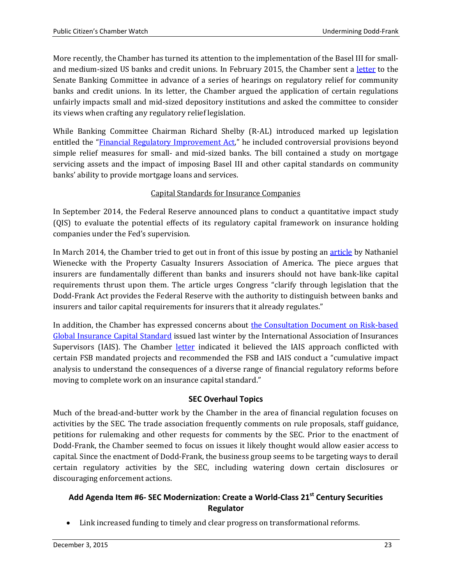More recently, the Chamber has turned its attention to the implementation of the Basel III for smalland medium-sized US banks and credit unions. In February 2015, the Chamber sent a [letter](https://www.uschamber.com/letter/letter-senate-committee-banking-housing-and-urban-affairs-hearing-entitled-regulatory-relief) to the Senate Banking Committee in advance of a series of hearings on regulatory relief for community banks and credit unions. In its letter, the Chamber argued the application of certain regulations unfairly impacts small and mid-sized depository institutions and asked the committee to consider its views when crafting any regulatory relief legislation.

While Banking Committee Chairman Richard Shelby (R-AL) introduced marked up legislation entitled the ["Financial Regulatory Improvement Act,"](https://www.congress.gov/bill/114th-congress/senate-bill/1484?q=%7B%22search%22%3A%5B%22financial+regulatory+improvement+act%22%5D%7D&resultIndex=1) he included controversial provisions beyond simple relief measures for small- and mid-sized banks. The bill contained a study on mortgage servicing assets and the impact of imposing Basel III and other capital standards on community banks' ability to provide mortgage loans and services.

## Capital Standards for Insurance Companies

In September 2014, the Federal Reserve announced plans to conduct a quantitative impact study (QIS) to evaluate the potential effects of its regulatory capital framework on insurance holding companies under the Fed's supervision.

In March 2014, the Chamber tried to get out in front of this issue by posting an [article](https://www.uschamber.com/blog/lets-be-clear-insurers-and-banks-are-different) by Nathaniel Wienecke with the Property Casualty Insurers Association of America. The piece argues that insurers are fundamentally different than banks and insurers should not have bank-like capital requirements thrust upon them. The article urges Congress "clarify through legislation that the Dodd-Frank Act provides the Federal Reserve with the authority to distinguish between banks and insurers and tailor capital requirements for insurers that it already regulates."

In addition, the Chamber has expressed concerns about [the Consultation Document on Risk-based](http://iaisweb.org/index.cfm?event=getPage&nodeId=25229)  [Global Insurance Capital Standard](http://iaisweb.org/index.cfm?event=getPage&nodeId=25229) issued last winter by the International Association of Insurances Supervisors (IAIS). The Chamber [letter](http://www.centerforcapitalmarkets.com/wp-content/uploads/2015/02/2015-2.13-Chamber-IAIS-ICS-Comments-FINAL.pdf) indicated it believed the IAIS approach conflicted with certain FSB mandated projects and recommended the FSB and IAIS conduct a "cumulative impact analysis to understand the consequences of a diverse range of financial regulatory reforms before moving to complete work on an insurance capital standard."

#### **SEC Overhaul Topics**

<span id="page-22-0"></span>Much of the bread-and-butter work by the Chamber in the area of financial regulation focuses on activities by the SEC. The trade association frequently comments on rule proposals, staff guidance, petitions for rulemaking and other requests for comments by the SEC. Prior to the enactment of Dodd-Frank, the Chamber seemed to focus on issues it likely thought would allow easier access to capital. Since the enactment of Dodd-Frank, the business group seems to be targeting ways to derail certain regulatory activities by the SEC, including watering down certain disclosures or discouraging enforcement actions.

# <span id="page-22-1"></span>**Add Agenda Item #6- SEC Modernization: Create a World-Class 21st Century Securities Regulator**

• Link increased funding to timely and clear progress on transformational reforms.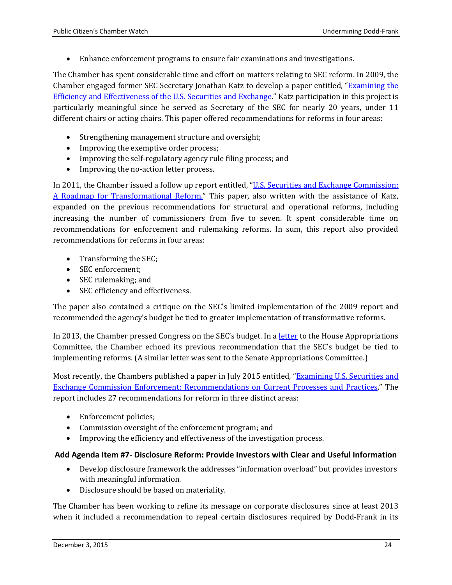• Enhance enforcement programs to ensure fair examinations and investigations.

The Chamber has spent considerable time and effort on matters relating to SEC reform. In 2009, the Chamber engaged former SEC Secretary Jonathan Katz to develop a paper entitled, ["Examining the](http://www.centerforcapitalmarkets.com/wp-content/uploads/2010/04/ExaminingtheSECrdcfinal.pdf)  [Efficiency and Effectiveness of the U.S. Securities and Exchange.](http://www.centerforcapitalmarkets.com/wp-content/uploads/2010/04/ExaminingtheSECrdcfinal.pdf)" Katz participation in this project is particularly meaningful since he served as Secretary of the SEC for nearly 20 years, under 11 different chairs or acting chairs. This paper offered recommendations for reforms in four areas:

- Strengthening management structure and oversight;
- Improving the exemptive order process;
- Improving the self-regulatory agency rule filing process; and
- Improving the no-action letter process.

In 2011, the Chamber issued a follow up report entitled, ["U.S. Securities and Exchange Commission:](http://www.centerforcapitalmarkets.com/wp-content/uploads/2013/08/16967_SECReport_FullReport_final.pdf)  [A Roadmap for Transformational Reform."](http://www.centerforcapitalmarkets.com/wp-content/uploads/2013/08/16967_SECReport_FullReport_final.pdf) This paper, also written with the assistance of Katz, expanded on the previous recommendations for structural and operational reforms, including increasing the number of commissioners from five to seven. It spent considerable time on recommendations for enforcement and rulemaking reforms. In sum, this report also provided recommendations for reforms in four areas:

- Transforming the SEC;
- SEC enforcement:
- SEC rulemaking; and
- SEC efficiency and effectiveness.

The paper also contained a critique on the SEC's limited implementation of the 2009 report and recommended the agency's budget be tied to greater implementation of transformative reforms.

In 2013, the Chamber pressed Congress on the SEC's budget. In a [letter](http://www.centerforcapitalmarkets.com/wp-content/uploads/2013/08/2013-5.6-SECBudgetHearing_HouseApprops_Crenshaw_Serrano.pdf) to the House Appropriations Committee, the Chamber echoed its previous recommendation that the SEC's budget be tied to implementing reforms. (A similar letter was sent to the Senate Appropriations Committee.)

Most recently, the Chambers published a paper in July 2015 entitled, ["Examining U.S. Securities and](http://www.centerforcapitalmarkets.com/wp-content/uploads/2015/07/021882_SEC_Reform_FIN1.pdf)  [Exchange Commission Enforcement: Recommendations on Current](http://www.centerforcapitalmarkets.com/wp-content/uploads/2015/07/021882_SEC_Reform_FIN1.pdf) Processes and Practices." The report includes 27 recommendations for reform in three distinct areas:

- Enforcement policies:
- Commission oversight of the enforcement program; and
- Improving the efficiency and effectiveness of the investigation process.

#### <span id="page-23-0"></span>**Add Agenda Item #7- Disclosure Reform: Provide Investors with Clear and Useful Information**

- Develop disclosure framework the addresses "information overload" but provides investors with meaningful information.
- Disclosure should be based on materiality.

The Chamber has been working to refine its message on corporate disclosures since at least 2013 when it included a recommendation to repeal certain disclosures required by Dodd-Frank in its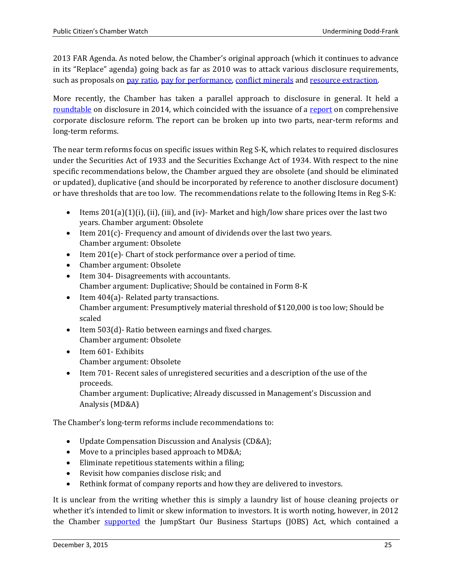2013 FAR Agenda. As noted below, the Chamber's original approach (which it continues to advance in its "Replace" agenda) going back as far as 2010 was to attack various disclosure requirements, such as proposals on [pay ratio,](http://www.centerforcapitalmarkets.com/wp-content/uploads/2014/05/2014-5.22-Pay-Ratio-Economic-Analysis-Letter.pdf) [pay for performance,](http://www.centerforcapitalmarkets.com/wp-content/uploads/2015/06/2015-6-30-SEC-Pay-vs-Performance1.pdf) [conflict minerals](http://www.centerforcapitalmarkets.com/wp-content/uploads/2010/04/2011-11.29-SEC-Conflict-Minerals.pdf) and [resource extraction.](http://www.sec.gov/comments/s7-42-10/s74210-60.pdf)

More recently, the Chamber has taken a parallel approach to disclosure in general. It held a [roundtable](http://www.centerforcapitalmarkets.com/wp-content/uploads/2014/05/Disclosure-Reform-Agenda-FINAL.pdf) on disclosure in 2014, which coincided with the issuance of a [report](http://www.centerforcapitalmarkets.com/wp-content/uploads/2014/07/CCMC_Disclosure_Reform_Final_7-28-20141.pdf) on comprehensive corporate disclosure reform. The report can be broken up into two parts, near-term reforms and long-term reforms.

The near term reforms focus on specific issues within Reg S-K, which relates to required disclosures under the Securities Act of 1933 and the Securities Exchange Act of 1934. With respect to the nine specific recommendations below, the Chamber argued they are obsolete (and should be eliminated or updated), duplicative (and should be incorporated by reference to another disclosure document) or have thresholds that are too low. The recommendations relate to the following Items in Reg S-K:

- Items  $201(a)(1)(i)$ , (ii), (iii), and (iv)-Market and high/low share prices over the last two years. Chamber argument: Obsolete
- Item  $201(c)$  Frequency and amount of dividends over the last two years. Chamber argument: Obsolete
- Item 201(e)- Chart of stock performance over a period of time.
- Chamber argument: Obsolete
- Item 304- Disagreements with accountants. Chamber argument: Duplicative; Should be contained in Form 8-K
- Item 404(a)-Related party transactions. Chamber argument: Presumptively material threshold of \$120,000 is too low; Should be scaled
- Item 503(d)- Ratio between earnings and fixed charges. Chamber argument: Obsolete
- Item 601- Exhibits Chamber argument: Obsolete
- Item 701- Recent sales of unregistered securities and a description of the use of the proceeds. Chamber argument: Duplicative; Already discussed in Management's Discussion and Analysis (MD&A)

The Chamber's long-term reforms include recommendations to:

- Update Compensation Discussion and Analysis (CD&A);
- Move to a principles based approach to MD&A;
- Eliminate repetitious statements within a filing;
- Revisit how companies disclose risk; and
- Rethink format of company reports and how they are delivered to investors.

It is unclear from the writing whether this is simply a laundry list of house cleaning projects or whether it's intended to limit or skew information to investors. It is worth noting, however, in 2012 the Chamber [supported](https://www.uschamber.com/sites/default/files/documents/files/NYSE_Print%2520Ad.pdf) the JumpStart Our Business Startups (JOBS) Act, which contained a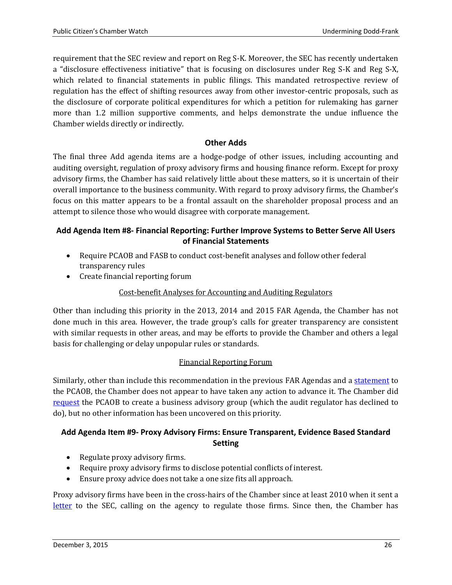requirement that the SEC review and report on Reg S-K. Moreover, the SEC has recently undertaken a "disclosure effectiveness initiative" that is focusing on disclosures under Reg S-K and Reg S-X, which related to financial statements in public filings. This mandated retrospective review of regulation has the effect of shifting resources away from other investor-centric proposals, such as the disclosure of corporate political expenditures for which a petition for rulemaking has garner more than 1.2 million supportive comments, and helps demonstrate the undue influence the Chamber wields directly or indirectly.

#### **Other Adds**

<span id="page-25-0"></span>The final three Add agenda items are a hodge-podge of other issues, including accounting and auditing oversight, regulation of proxy advisory firms and housing finance reform. Except for proxy advisory firms, the Chamber has said relatively little about these matters, so it is uncertain of their overall importance to the business community. With regard to proxy advisory firms, the Chamber's focus on this matter appears to be a frontal assault on the shareholder proposal process and an attempt to silence those who would disagree with corporate management.

## <span id="page-25-1"></span>**Add Agenda Item #8- Financial Reporting: Further Improve Systems to Better Serve All Users of Financial Statements**

- Require PCAOB and FASB to conduct cost-benefit analyses and follow other federal transparency rules
- Create financial reporting forum

## Cost-benefit Analyses for Accounting and Auditing Regulators

Other than including this priority in the 2013, 2014 and 2015 FAR Agenda, the Chamber has not done much in this area. However, the trade group's calls for greater transparency are consistent with similar requests in other areas, and may be efforts to provide the Chamber and others a legal basis for challenging or delay unpopular rules or standards.

#### Financial Reporting Forum

Similarly, other than include this recommendation in the previous FAR Agendas and a [statement](http://pcaobus.org/Rules/Rulemaking/Docket037/ps_David_Hirschmann.pdf) to the PCAOB, the Chamber does not appear to have taken any action to advance it. The Chamber did [request](http://www.centerforcapitalmarkets.com/wp-content/uploads/2013/08/2013-5.10.13-Letter-to-PCAOB-re.-SAG-Bus..pdf) the PCAOB to create a business advisory group (which the audit regulator has declined to do), but no other information has been uncovered on this priority.

#### <span id="page-25-2"></span>**Add Agenda Item #9- Proxy Advisory Firms: Ensure Transparent, Evidence Based Standard Setting**

- Regulate proxy advisory firms.
- Require proxy advisory firms to disclose potential conflicts of interest.
- Ensure proxy advice does not take a one size fits all approach.

Proxy advisory firms have been in the cross-hairs of the Chamber since at least 2010 when it sent a [letter](http://www.sec.gov/comments/s7-14-10/s71410-26.pdf) to the SEC, calling on the agency to regulate those firms. Since then, the Chamber has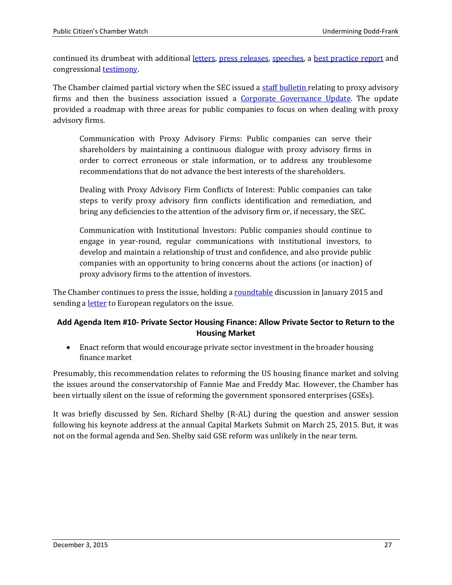continued its drumbeat with additional [letters,](http://www.centerforcapitalmarkets.com/wp-content/uploads/2010/04/Concept-Release-Proxy-System-5.9.2011.pdf) [press releases,](https://www.uschamber.com/press-release/us-chamber-calls-sec-examine-proxy-advisory-firm) [speeches,](https://www.uschamber.com/press-release/us-chamber-calls-increased-transparency-and-accountability-proxy-advisory-firms) a [best practice report](http://www.centerforcapitalmarkets.com/wp-content/uploads/2013/08/Best-Practices-and-Core-Principles-for-Proxy-Advisors.pdf) and congressional [testimony.](http://financialservices.house.gov/uploadedfiles/hhrg-113-ba16-wstate-hpitt-20130605.pdf)

The Chamber claimed partial victory when the SEC issued a [staff bulletin r](https://www.sec.gov/interps/legal/cfslb20.htm)elating to proxy advisory firms and then the business association issued a [Corporate Governance Update.](http://www.centerforcapitalmarkets.com/wp-content/uploads/2013/08/021874_ProxyAdvisory_final-1.pdf) The update provided a roadmap with three areas for public companies to focus on when dealing with proxy advisory firms.

Communication with Proxy Advisory Firms: Public companies can serve their shareholders by maintaining a continuous dialogue with proxy advisory firms in order to correct erroneous or stale information, or to address any troublesome recommendations that do not advance the best interests of the shareholders.

Dealing with Proxy Advisory Firm Conflicts of Interest: Public companies can take steps to verify proxy advisory firm conflicts identification and remediation, and bring any deficiencies to the attention of the advisory firm or, if necessary, the SEC.

Communication with Institutional Investors: Public companies should continue to engage in year-round, regular communications with institutional investors, to develop and maintain a relationship of trust and confidence, and also provide public companies with an opportunity to bring concerns about the actions (or inaction) of proxy advisory firms to the attention of investors.

The Chamber continues to press the issue, holding a [roundtable](http://www.centerforcapitalmarkets.com/wp-content/uploads/2014/11/January-7-Proxy-Event-Agenda-Final.pdf) discussion in January 2015 and sending a *letter* to European regulators on the issue.

#### <span id="page-26-0"></span>**Add Agenda Item #10- Private Sector Housing Finance: Allow Private Sector to Return to the Housing Market**

• Enact reform that would encourage private sector investment in the broader housing finance market

Presumably, this recommendation relates to reforming the US housing finance market and solving the issues around the conservatorship of Fannie Mae and Freddy Mac. However, the Chamber has been virtually silent on the issue of reforming the government sponsored enterprises (GSEs).

It was briefly discussed by Sen. Richard Shelby (R-AL) during the question and answer session following his keynote address at the annual Capital Markets Submit on March 25, 2015. But, it was not on the formal agenda and Sen. Shelby said GSE reform was unlikely in the near term.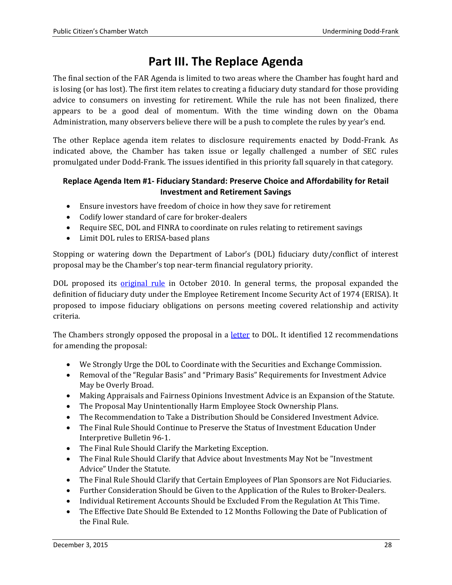# **Part III. The Replace Agenda**

<span id="page-27-0"></span>The final section of the FAR Agenda is limited to two areas where the Chamber has fought hard and is losing (or has lost). The first item relates to creating a fiduciary duty standard for those providing advice to consumers on investing for retirement. While the rule has not been finalized, there appears to be a good deal of momentum. With the time winding down on the Obama Administration, many observers believe there will be a push to complete the rules by year's end.

The other Replace agenda item relates to disclosure requirements enacted by Dodd-Frank. As indicated above, the Chamber has taken issue or legally challenged a number of SEC rules promulgated under Dodd-Frank. The issues identified in this priority fall squarely in that category.

## <span id="page-27-1"></span>**Replace Agenda Item #1- Fiduciary Standard: Preserve Choice and Affordability for Retail Investment and Retirement Savings**

- Ensure investors have freedom of choice in how they save for retirement
- Codify lower standard of care for broker-dealers
- Require SEC, DOL and FINRA to coordinate on rules relating to retirement savings
- Limit DOL rules to ERISA-based plans

Stopping or watering down the Department of Labor's (DOL) fiduciary duty/conflict of interest proposal may be the Chamber's top near-term financial regulatory priority.

DOL proposed its <u>[original rule](http://www.dol.gov/ebsa/regs/cmt-1210-AB32.html)</u> in October 2010. In general terms, the proposal expanded the definition of fiduciary duty under the Employee Retirement Income Security Act of 1974 (ERISA). It proposed to impose fiduciary obligations on persons meeting covered relationship and activity criteria.

The Chambers strongly opposed the proposal in a [letter](http://www.dol.gov/ebsa/pdf/1210-AB32-112.pdf) to DOL. It identified 12 recommendations for amending the proposal:

- We Strongly Urge the DOL to Coordinate with the Securities and Exchange Commission.
- Removal of the "Regular Basis" and "Primary Basis" Requirements for Investment Advice May be Overly Broad.
- Making Appraisals and Fairness Opinions Investment Advice is an Expansion of the Statute.
- The Proposal May Unintentionally Harm Employee Stock Ownership Plans.
- The Recommendation to Take a Distribution Should be Considered Investment Advice.
- The Final Rule Should Continue to Preserve the Status of Investment Education Under Interpretive Bulletin 96-1.
- The Final Rule Should Clarify the Marketing Exception.
- The Final Rule Should Clarify that Advice about Investments May Not be "Investment Advice" Under the Statute.
- The Final Rule Should Clarify that Certain Employees of Plan Sponsors are Not Fiduciaries.
- Further Consideration Should be Given to the Application of the Rules to Broker-Dealers.
- Individual Retirement Accounts Should be Excluded From the Regulation At This Time.
- The Effective Date Should Be Extended to 12 Months Following the Date of Publication of the Final Rule.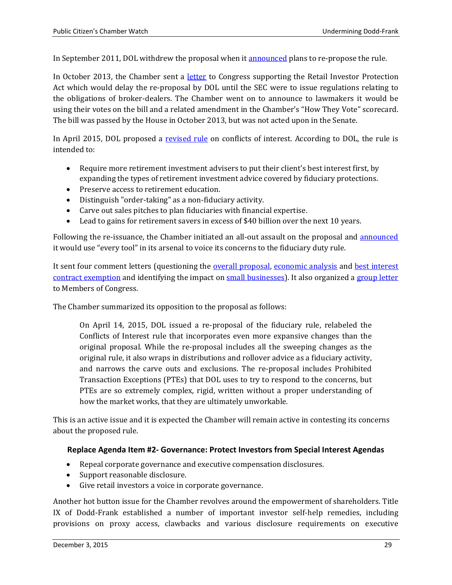In September 2011, DOL withdrew the proposal when it [announced](http://www.dol.gov/ebsa/newsroom/2011/11-1382-NAT.html) plans to re-propose the rule.

In October 2013, the Chamber sent a [letter](http://www.centerforcapitalmarkets.com/wp-content/uploads/2014/02/2013-10.28-KV_HR2374_RetailInvestorProtectionAct_House.pdf) to Congress supporting the Retail Investor Protection Act which would delay the re-proposal by DOL until the SEC were to issue regulations relating to the obligations of broker-dealers. The Chamber went on to announce to lawmakers it would be using their votes on the bill and a related amendment in the Chamber's "How They Vote" scorecard. The bill was passed by the House in October 2013, but was not acted upon in the Senate.

In April 2015, DOL proposed a [revised rule](http://www.dol.gov/ebsa/regs/conflictsofinterest.html) on conflicts of interest. According to DOL, the rule is intended to:

- Require more retirement investment advisers to put their client's best interest first, by expanding the types of retirement investment advice covered by fiduciary protections.
- Preserve access to retirement education.
- Distinguish "order-taking" as a non-fiduciary activity.
- Carve out sales pitches to plan fiduciaries with financial expertise.
- Lead to gains for retirement savers in excess of \$40 billion over the next 10 years.

Following the re-issuance, the Chamber initiated an all-out assault on the proposal and [announced](http://www.thinkadvisor.com/2015/03/03/us-chamber-of-commerce-vows-to-use-every-tool-agai) it would use "every tool" in its arsenal to voice its concerns to the fiduciary duty rule.

It sent four comment letters (questioning the [overall proposal,](http://www.centerforcapitalmarkets.com/wp-content/uploads/2015/07/2015-7-17-DOL-Fiduciary-Letter.pdf) [economic analysis](http://www.centerforcapitalmarkets.com/wp-content/uploads/2013/08/2015-7.20-comments_to_the_employee_benefits_security_administration_re_fiduciary_economic_analysis.pdf) and [best interest](http://www.centerforcapitalmarkets.com/wp-content/uploads/2015/07/2015-07-20-DOL-Proposed-Best-Interest-Contract-Exemption-letter.pdf)  [contract exemption](http://www.centerforcapitalmarkets.com/wp-content/uploads/2015/07/2015-07-20-DOL-Proposed-Best-Interest-Contract-Exemption-letter.pdf) and identifying the impact on [small businesses\)](http://www.centerforcapitalmarkets.com/wp-content/uploads/2015/07/2015-7.21-fiduciary_-_small_business_joint_comment_letter.pdf). It also organized a [group letter](http://www.centerforcapitalmarkets.com/wp-content/uploads/2015/07/150721_Coalition_FiduciaryAdviceUnderERISA_Congress.pdf) to Members of Congress.

The Chamber summarized its opposition to the proposal as follows:

On April 14, 2015, DOL issued a re-proposal of the fiduciary rule, relabeled the Conflicts of Interest rule that incorporates even more expansive changes than the original proposal. While the re-proposal includes all the sweeping changes as the original rule, it also wraps in distributions and rollover advice as a fiduciary activity, and narrows the carve outs and exclusions. The re-proposal includes Prohibited Transaction Exceptions (PTEs) that DOL uses to try to respond to the concerns, but PTEs are so extremely complex, rigid, written without a proper understanding of how the market works, that they are ultimately unworkable.

This is an active issue and it is expected the Chamber will remain active in contesting its concerns about the proposed rule.

#### <span id="page-28-0"></span>**Replace Agenda Item #2- Governance: Protect Investors from Special Interest Agendas**

- Repeal corporate governance and executive compensation disclosures.
- Support reasonable disclosure.
- Give retail investors a voice in corporate governance.

Another hot button issue for the Chamber revolves around the empowerment of shareholders. Title IX of Dodd-Frank established a number of important investor self-help remedies, including provisions on proxy access, clawbacks and various disclosure requirements on executive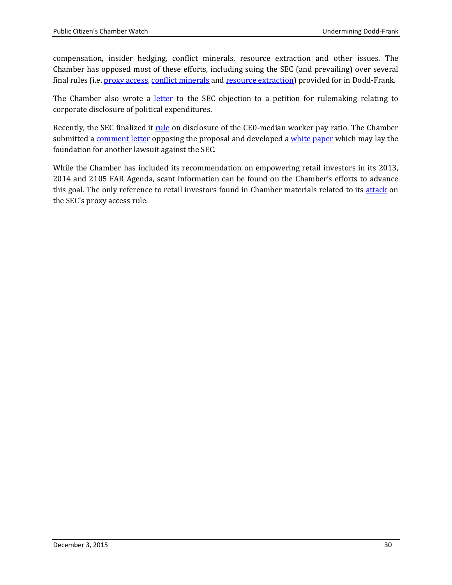compensation, insider hedging, conflict minerals, resource extraction and other issues. The Chamber has opposed most of these efforts, including suing the SEC (and prevailing) over several final rules (i.e. [proxy access,](https://www.uschamber.com/press-release/us-chamber-joins-business-roundtable-lawsuit-challenging-securities-and-exchange) [conflict minerals](http://www.bloomberg.com/news/articles/2012-10-22/sec-sued-over-conflict-minerals-rule-by-business-groups) and [resource extraction\)](http://www.chamberlitigation.com/api-and-chamber-commerce-et-al-v-us-securities-and-exchange-commission-sec) provided for in Dodd-Frank.

The Chamber also wrote a <u>[letter](http://www.sec.gov/comments/4-637/4637-1198.pdf) t</u>o the SEC objection to a petition for rulemaking relating to corporate disclosure of political expenditures.

Recently, the SEC finalized it [rule](http://www.sec.gov/news/pressrelease/2015-160.html) on disclosure of the CE0-median worker pay ratio. The Chamber submitted a [comment letter](http://www.sec.gov/comments/s7-07-13/s70713-969.pdf) opposing the proposal and developed a [white paper](https://www.uschamber.com/press-release/us-chamber-report-finds-sec-woefully-underestimated-impact-proposed-pay-ratio-rule) which may lay the foundation for another lawsuit against the SEC.

While the Chamber has included its recommendation on empowering retail investors in its 2013, 2014 and 2105 FAR Agenda, scant information can be found on the Chamber's efforts to advance this goal. The only reference to retail investors found in Chamber materials related to its [attack](https://www.uschamber.com/press-release/new-sec-special-interest-proxy-access-rule-%E2%80%9Cgiant-step-backwards%E2%80%9D-investors) on the SEC's proxy access rule.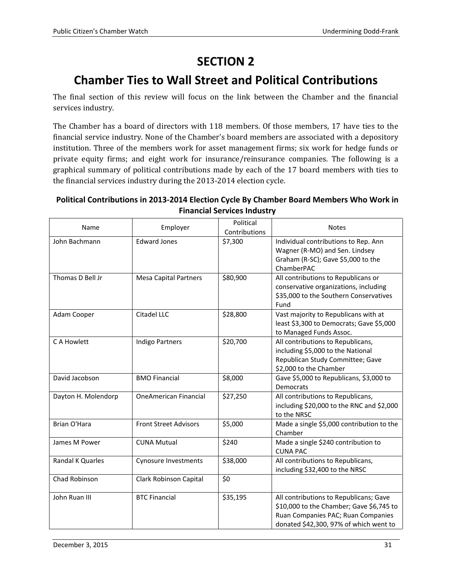# **SECTION 2**

# <span id="page-30-0"></span>**Chamber Ties to Wall Street and Political Contributions**

<span id="page-30-1"></span>The final section of this review will focus on the link between the Chamber and the financial services industry.

The Chamber has a board of directors with 118 members. Of those members, 17 have ties to the financial service industry. None of the Chamber's board members are associated with a depository institution. Three of the members work for asset management firms; six work for hedge funds or private equity firms; and eight work for insurance/reinsurance companies. The following is a graphical summary of political contributions made by each of the 17 board members with ties to the financial services industry during the 2013-2014 election cycle.

#### **Political Contributions in 2013-2014 Election Cycle By Chamber Board Members Who Work in Financial Services Industry**

| Name                | Employer                     | Political<br>Contributions | <b>Notes</b>                                                                                                                                                       |
|---------------------|------------------------------|----------------------------|--------------------------------------------------------------------------------------------------------------------------------------------------------------------|
| John Bachmann       | <b>Edward Jones</b>          | \$7,300                    | Individual contributions to Rep. Ann<br>Wagner (R-MO) and Sen. Lindsey<br>Graham (R-SC); Gave \$5,000 to the<br>ChamberPAC                                         |
| Thomas D Bell Jr    | <b>Mesa Capital Partners</b> | \$80,900                   | All contributions to Republicans or<br>conservative organizations, including<br>\$35,000 to the Southern Conservatives<br>Fund                                     |
| Adam Cooper         | Citadel LLC                  | \$28,800                   | Vast majority to Republicans with at<br>least \$3,300 to Democrats; Gave \$5,000<br>to Managed Funds Assoc.                                                        |
| C A Howlett         | <b>Indigo Partners</b>       | \$20,700                   | All contributions to Republicans,<br>including \$5,000 to the National<br>Republican Study Committee; Gave<br>\$2,000 to the Chamber                               |
| David Jacobson      | <b>BMO Financial</b>         | \$8,000                    | Gave \$5,000 to Republicans, \$3,000 to<br><b>Democrats</b>                                                                                                        |
| Dayton H. Molendorp | <b>OneAmerican Financial</b> | \$27,250                   | All contributions to Republicans,<br>including \$20,000 to the RNC and \$2,000<br>to the NRSC                                                                      |
| Brian O'Hara        | <b>Front Street Advisors</b> | \$5,000                    | Made a single \$5,000 contribution to the<br>Chamber                                                                                                               |
| James M Power       | <b>CUNA Mutual</b>           | \$240                      | Made a single \$240 contribution to<br><b>CUNA PAC</b>                                                                                                             |
| Randal K Quarles    | <b>Cynosure Investments</b>  | \$38,000                   | All contributions to Republicans,<br>including \$32,400 to the NRSC                                                                                                |
| Chad Robinson       | Clark Robinson Capital       | \$0                        |                                                                                                                                                                    |
| John Ruan III       | <b>BTC Financial</b>         | \$35,195                   | All contributions to Republicans; Gave<br>\$10,000 to the Chamber; Gave \$6,745 to<br>Ruan Companies PAC; Ruan Companies<br>donated \$42,300, 97% of which went to |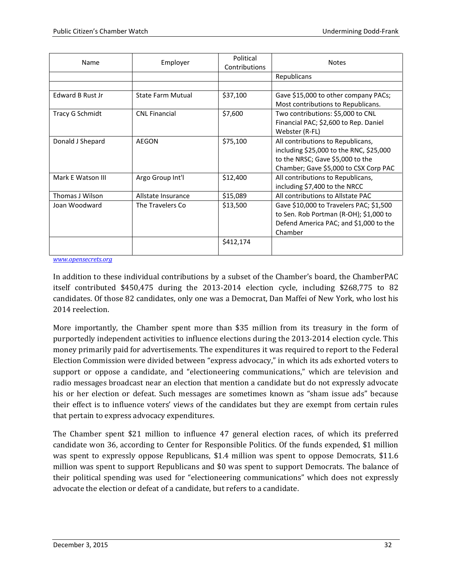| Name                    | Employer                 | Political<br>Contributions | <b>Notes</b>                            |
|-------------------------|--------------------------|----------------------------|-----------------------------------------|
|                         |                          |                            | Republicans                             |
|                         |                          |                            |                                         |
| <b>Edward B Rust Jr</b> | <b>State Farm Mutual</b> | \$37,100                   | Gave \$15,000 to other company PACs;    |
|                         |                          |                            | Most contributions to Republicans.      |
| Tracy G Schmidt         | <b>CNL Financial</b>     | \$7,600                    | Two contributions: \$5,000 to CNL       |
|                         |                          |                            | Financial PAC; \$2,600 to Rep. Daniel   |
|                         |                          |                            | Webster (R-FL)                          |
| Donald J Shepard        | AEGON                    | \$75,100                   | All contributions to Republicans,       |
|                         |                          |                            | including \$25,000 to the RNC, \$25,000 |
|                         |                          |                            | to the NRSC; Gave \$5,000 to the        |
|                         |                          |                            | Chamber; Gave \$5,000 to CSX Corp PAC   |
| Mark E Watson III       | Argo Group Int'l         | \$12,400                   | All contributions to Republicans,       |
|                         |                          |                            | including \$7,400 to the NRCC           |
| Thomas J Wilson         | Allstate Insurance       | \$15,089                   | All contributions to Allstate PAC       |
| Joan Woodward           | The Travelers Co         | \$13,500                   | Gave \$10,000 to Travelers PAC; \$1,500 |
|                         |                          |                            | to Sen. Rob Portman (R-OH); \$1,000 to  |
|                         |                          |                            | Defend America PAC; and \$1,000 to the  |
|                         |                          |                            | Chamber                                 |
|                         |                          | \$412,174                  |                                         |
|                         |                          |                            |                                         |

*[www.opensecrets.org](http://www.opensecrets.org/)*

In addition to these individual contributions by a subset of the Chamber's board, the ChamberPAC itself contributed \$450,475 during the 2013-2014 election cycle, including \$268,775 to 82 candidates. Of those 82 candidates, only one was a Democrat, Dan Maffei of New York, who lost his 2014 reelection.

More importantly, the Chamber spent more than \$35 million from its treasury in the form of purportedly independent activities to influence elections during the 2013-2014 election cycle. This money primarily paid for advertisements. The expenditures it was required to report to the Federal Election Commission were divided between "express advocacy," in which its ads exhorted voters to support or oppose a candidate, and "electioneering communications," which are television and radio messages broadcast near an election that mention a candidate but do not expressly advocate his or her election or defeat. Such messages are sometimes known as "sham issue ads" because their effect is to influence voters' views of the candidates but they are exempt from certain rules that pertain to express advocacy expenditures.

The Chamber spent \$21 million to influence 47 general election races, of which its preferred candidate won 36, according to Center for Responsible Politics. Of the funds expended, \$1 million was spent to expressly oppose Republicans, \$1.4 million was spent to oppose Democrats, \$11.6 million was spent to support Republicans and \$0 was spent to support Democrats. The balance of their political spending was used for "electioneering communications" which does not expressly advocate the election or defeat of a candidate, but refers to a candidate.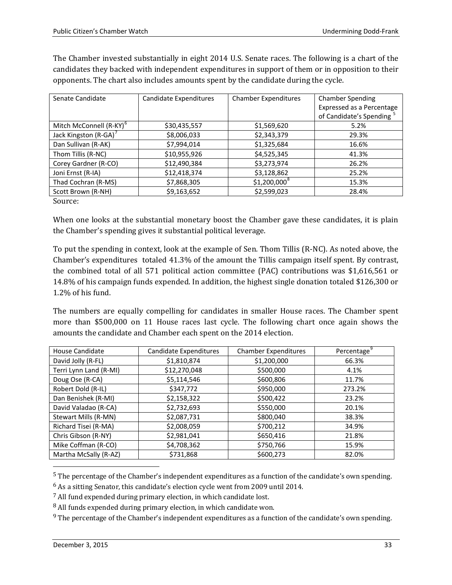| candidates they backed with independent expenditures in support of them or in opposition to their<br>opponents. The chart also includes amounts spent by the candidate during the cycle. |                        |                             |                                                      |  |
|------------------------------------------------------------------------------------------------------------------------------------------------------------------------------------------|------------------------|-----------------------------|------------------------------------------------------|--|
| Senate Candidate                                                                                                                                                                         | Candidate Expenditures | <b>Chamber Expenditures</b> | <b>Chamber Spending</b><br>Expressed as a Percentage |  |

The Chamber invested substantially in eight 2014 U.S. Senate races. The following is a chart of the

|              |                | Expressed as a Percentage |
|--------------|----------------|---------------------------|
|              |                | of Candidate's Spending   |
| \$30,435,557 | \$1,569,620    | 5.2%                      |
| \$8,006,033  | \$2,343,379    | 29.3%                     |
| \$7,994,014  | \$1,325,684    | 16.6%                     |
| \$10,955,926 | \$4,525,345    | 41.3%                     |
| \$12,490,384 | \$3,273,974    | 26.2%                     |
| \$12,418,374 | \$3,128,862    | 25.2%                     |
| \$7,868,305  | $$1,200,000^8$ | 15.3%                     |
| \$9,163,652  | \$2,599,023    | 28.4%                     |
|              |                |                           |

Source:

When one looks at the substantial monetary boost the Chamber gave these candidates, it is plain the Chamber's spending gives it substantial political leverage.

To put the spending in context, look at the example of Sen. Thom Tillis (R-NC). As noted above, the Chamber's expenditures totaled 41.3% of the amount the Tillis campaign itself spent. By contrast, the combined total of all 571 political action committee (PAC) contributions was \$1,616,561 or 14.8% of his campaign funds expended. In addition, the highest single donation totaled \$126,300 or 1.2% of his fund.

The numbers are equally compelling for candidates in smaller House races. The Chamber spent more than \$500,000 on 11 House races last cycle. The following chart once again shows the amounts the candidate and Chamber each spent on the 2014 election.

| <b>House Candidate</b> | Candidate Expenditures | <b>Chamber Expenditures</b> | Percentage |
|------------------------|------------------------|-----------------------------|------------|
| David Jolly (R-FL)     | \$1,810,874            | \$1,200,000                 | 66.3%      |
| Terri Lynn Land (R-MI) | \$12,270,048           | \$500,000                   | 4.1%       |
| Doug Ose (R-CA)        | \$5,114,546            | \$600,806                   | 11.7%      |
| Robert Dold (R-IL)     | \$347,772              | \$950,000                   | 273.2%     |
| Dan Benishek (R-MI)    | \$2,158,322            | \$500,422                   | 23.2%      |
| David Valadao (R-CA)   | \$2,732,693            | \$550,000                   | 20.1%      |
| Stewart Mills (R-MN)   | \$2,087,731            | \$800,040                   | 38.3%      |
| Richard Tisei (R-MA)   | \$2,008,059            | \$700,212                   | 34.9%      |
| Chris Gibson (R-NY)    | \$2,981,041            | \$650,416                   | 21.8%      |
| Mike Coffman (R-CO)    | \$4,708,362            | \$750,766                   | 15.9%      |
| Martha McSally (R-AZ)  | \$731,868              | \$600,273                   | 82.0%      |

 <sup>5</sup> The percentage of the Chamber's independent expenditures as a function of the candidate's own spending.

<span id="page-32-0"></span><sup>6</sup> As a sitting Senator, this candidate's election cycle went from 2009 until 2014.

<span id="page-32-1"></span><sup>7</sup> All fund expended during primary election, in which candidate lost.

<span id="page-32-2"></span><sup>8</sup> All funds expended during primary election, in which candidate won.

<span id="page-32-3"></span> $9$  The percentage of the Chamber's independent expenditures as a function of the candidate's own spending.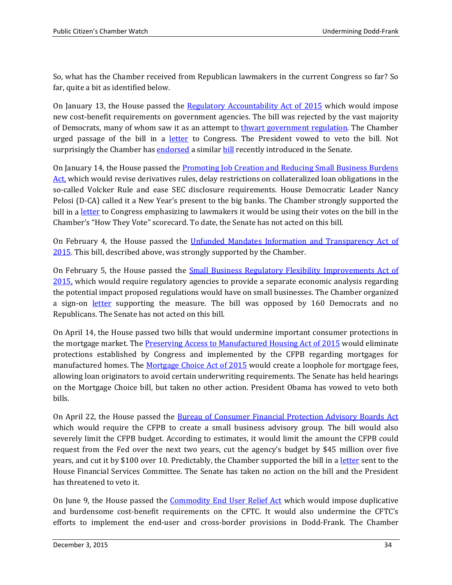So, what has the Chamber received from Republican lawmakers in the current Congress so far? So far, quite a bit as identified below.

On January 13, the House passed the [Regulatory Accountability Act of 2015](https://www.congress.gov/bill/114th-congress/house-bill/185?q=%7B%22search%22%3A%5B%22%5C%22hr185%5C%22%22%5D%7D&resultIndex=1) which would impose new cost-benefit requirements on government agencies. The bill was rejected by the vast majority of Democrats, many of whom saw it as an attempt to [thwart government regulation.](http://www.huffingtonpost.com/2015/01/13/regulation-stealth-attack_n_6465900.html) The Chamber urged passage of the bill in a [letter](https://www.uschamber.com/sites/default/files/1.12.15-_multi-industry_letter_to_the_house_supporting_h.r._185_the_regulatory_accountability_act.pdf) to Congress. The President vowed to veto the bill. Not surprisingly the Chamber ha[s endorsed](https://www.uschamber.com/sites/default/files/documents/files/8.6.15-_hill_letter_to_sens._portman_king_collins_supporting_introduction_of_the_regulatory_accountability_act.pdf) a similar [bill](https://www.congress.gov/bill/114th-congress/senate-bill/2006?q=%7B%22search%22%3A%5B%22regulatory+accountability+act%22%5D%7D&resultIndex=1) recently introduced in the Senate.

On January 14, the House passed the [Promoting Job Creation and Reducing Small Business Burdens](https://www.congress.gov/bill/114th-congress/house-bill/37?q=%7B%22search%22%3A%5B%22%5C%22hr37%5C%22%22%5D%7D&resultIndex=1)  [Act,](https://www.congress.gov/bill/114th-congress/house-bill/37?q=%7B%22search%22%3A%5B%22%5C%22hr37%5C%22%22%5D%7D&resultIndex=1) which would revise derivatives rules, delay restrictions on collateralized loan obligations in the so-called Volcker Rule and ease SEC disclosure requirements. House Democratic Leader Nancy Pelosi (D-CA) called it a New Year's present to the big banks. The Chamber strongly supported the bill in a [letter](http://www.centerforcapitalmarkets.com/wp-content/uploads/2015/01/2015-1.12-KV_HR37_PromotingJobCreationAndReducingSmallBusinessBurdensAct_House1.pdf) to Congress emphasizing to lawmakers it would be using their votes on the bill in the Chamber's "How They Vote" scorecard. To date, the Senate has not acted on this bill.

On February 4, the House passed the [Unfunded Mandates Information and Transparency Act of](https://www.congress.gov/bill/114th-congress/house-bill/50?q=%7B%22search%22%3A%5B%22%5C%22hr50%5C%22%22%5D%7D&resultIndex=1)  [2015.](https://www.congress.gov/bill/114th-congress/house-bill/50?q=%7B%22search%22%3A%5B%22%5C%22hr50%5C%22%22%5D%7D&resultIndex=1) This bill, described above, was strongly supported by the Chamber.

On February 5, the House passed the [Small Business Regulatory Flexibility Improvements Act of](https://www.uschamber.com/sites/default/files/2.3.15-_multi-organization_letter_supporting_h.r._527_the_small_business_regulatory_flexibility_improvements_act.pdf)  [2015,](https://www.uschamber.com/sites/default/files/2.3.15-_multi-organization_letter_supporting_h.r._527_the_small_business_regulatory_flexibility_improvements_act.pdf) which would require regulatory agencies to provide a separate economic analysis regarding the potential impact proposed regulations would have on small businesses. The Chamber organized a sign-on [letter](https://www.uschamber.com/sites/default/files/2.3.15-_multi-organization_letter_supporting_h.r._527_the_small_business_regulatory_flexibility_improvements_act.pdf) supporting the measure. The bill was opposed by 160 Democrats and no Republicans. The Senate has not acted on this bill.

On April 14, the House passed two bills that would undermine important consumer protections in the mortgage market. The **Preserving Access to Manufactured Housing Act of 2015** would eliminate protections established by Congress and implemented by the CFPB regarding mortgages for manufactured homes. The [Mortgage Choice Act of 2015](https://www.congress.gov/bill/114th-congress/house-bill/685?q=%7B%22search%22%3A%5B%22%5C%22hr685%5C%22%22%5D%7D&resultIndex=1) would create a loophole for mortgage fees, allowing loan originators to avoid certain underwriting requirements. The Senate has held hearings on the Mortgage Choice bill, but taken no other action. President Obama has vowed to veto both bills.

On April 22, the House passed the [Bureau of Consumer Financial Protection Advisory Boards Act](https://www.congress.gov/bill/114th-congress/house-bill/1195?q=%7B%22search%22%3A%5B%22Bureau+Consumer+Financial+Protection+Advisory+Boards+Act%22%5D%7D&resultIndex=1) which would require the CFPB to create a small business advisory group. The bill would also severely limit the CFPB budget. According to estimates, it would limit the amount the CFPB could request from the Fed over the next two years, cut the agency's budget by \$45 million over five years, and cut it by \$100 over 10. Predictably, the Chamber supported the bill in a [letter](https://www.uschamber.com/sites/default/files/150324_hr601_hr1195_hr1259_hr1265_hensarling_waters.pdf) sent to the House Financial Services Committee. The Senate has taken no action on the bill and the President has threatened to veto it.

On June 9, the House passed the [Commodity End User Relief Act](https://www.congress.gov/bill/114th-congress/house-bill/2289?q=%7B%22search%22%3A%5B%22%5C%22hr2289%5C%22%22%5D%7D&resultIndex=1) which would impose duplicative and burdensome cost-benefit requirements on the CFTC. It would also undermine the CFTC's efforts to implement the end-user and cross-border provisions in Dodd-Frank. The Chamber